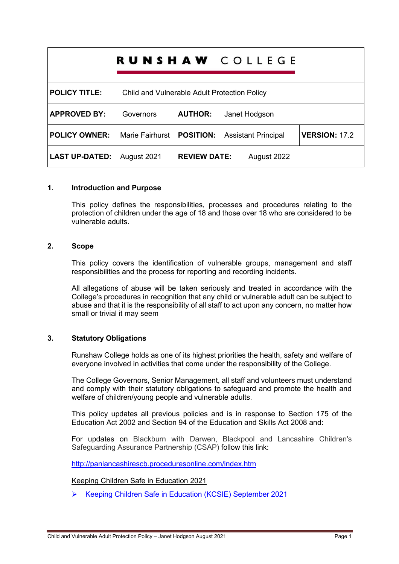|                                   | <b>RUNSHAW COLLEGE</b>                          |                     |               |                      |
|-----------------------------------|-------------------------------------------------|---------------------|---------------|----------------------|
| <b>POLICY TITLE:</b>              | Child and Vulnerable Adult Protection Policy    |                     |               |                      |
| <b>APPROVED BY:</b>               | Governors                                       | <b>AUTHOR:</b>      | Janet Hodgson |                      |
| <b>POLICY OWNER:</b>              | Marie Fairhurst   POSITION: Assistant Principal |                     |               | <b>VERSION: 17.2</b> |
| <b>LAST UP-DATED:</b> August 2021 |                                                 | <b>REVIEW DATE:</b> | August 2022   |                      |

#### **1. Introduction and Purpose**

This policy defines the responsibilities, processes and procedures relating to the protection of children under the age of 18 and those over 18 who are considered to be vulnerable adults.

#### **2. Scope**

This policy covers the identification of vulnerable groups, management and staff responsibilities and the process for reporting and recording incidents.

All allegations of abuse will be taken seriously and treated in accordance with the College's procedures in recognition that any child or vulnerable adult can be subject to abuse and that it is the responsibility of all staff to act upon any concern, no matter how small or trivial it may seem

#### **3. Statutory Obligations**

Runshaw College holds as one of its highest priorities the health, safety and welfare of everyone involved in activities that come under the responsibility of the College.

The College Governors, Senior Management, all staff and volunteers must understand and comply with their statutory obligations to safeguard and promote the health and welfare of children/young people and vulnerable adults.

This policy updates all previous policies and is in response to Section 175 of the Education Act 2002 and Section 94 of the Education and Skills Act 2008 and:

For updates on Blackburn with Darwen, Blackpool and Lancashire Children's Safeguarding Assurance Partnership (CSAP) follow this link:

http://panlancashirescb.proceduresonline.com/index.htm

Keeping Children Safe in Education 2021

Ø Keeping Children Safe in Education (KCSIE) September 2021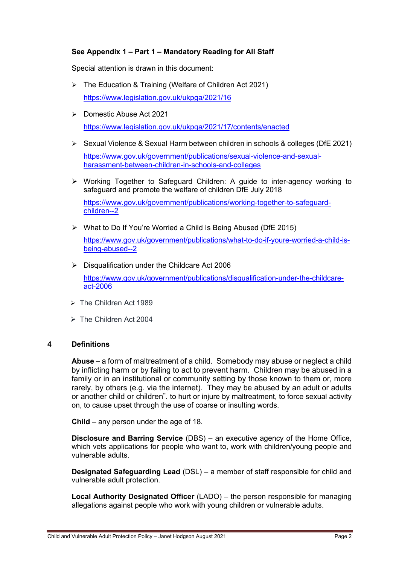# **See Appendix 1 – Part 1 – Mandatory Reading for All Staff**

Special attention is drawn in this document:

- $\triangleright$  The Education & Training (Welfare of Children Act 2021) https://www.legislation.gov.uk/ukpga/2021/16
- $\triangleright$  Domestic Abuse Act 2021 https://www.legislation.gov.uk/ukpga/2021/17/contents/enacted
- $\triangleright$  Sexual Violence & Sexual Harm between children in schools & colleges (DfE 2021) https://www.gov.uk/government/publications/sexual-violence-and-sexualharassment-between-children-in-schools-and-colleges
- Ø Working Together to Safeguard Children: A guide to inter-agency working to safeguard and promote the welfare of children DfE July 2018 https://www.gov.uk/government/publications/working-together-to-safeguardchildren--2
- Ø What to Do If You're Worried a Child Is Being Abused (DfE 2015)

https://www.gov.uk/government/publications/what-to-do-if-youre-worried-a-child-isbeing-abused--2

 $\triangleright$  Disqualification under the Childcare Act 2006

https://www.gov.uk/government/publications/disqualification-under-the-childcareact-2006

- $\triangleright$  The Children Act 1989
- $\triangleright$  The Children Act 2004

## **4 Definitions**

**Abuse** – a form of maltreatment of a child. Somebody may abuse or neglect a child by inflicting harm or by failing to act to prevent harm. Children may be abused in a family or in an institutional or community setting by those known to them or, more rarely, by others (e.g. via the internet). They may be abused by an adult or adults or another child or children". to hurt or injure by maltreatment, to force sexual activity on, to cause upset through the use of coarse or insulting words.

**Child** – any person under the age of 18.

**Disclosure and Barring Service** (DBS) – an executive agency of the Home Office, which vets applications for people who want to, work with children/young people and vulnerable adults.

**Designated Safeguarding Lead** (DSL) – a member of staff responsible for child and vulnerable adult protection.

**Local Authority Designated Officer** (LADO) – the person responsible for managing allegations against people who work with young children or vulnerable adults.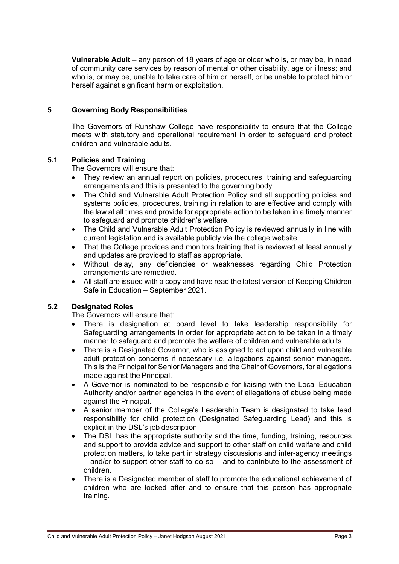**Vulnerable Adult** – any person of 18 years of age or older who is, or may be, in need of community care services by reason of mental or other disability, age or illness; and who is, or may be, unable to take care of him or herself, or be unable to protect him or herself against significant harm or exploitation.

## **5 Governing Body Responsibilities**

The Governors of Runshaw College have responsibility to ensure that the College meets with statutory and operational requirement in order to safeguard and protect children and vulnerable adults.

## **5.1 Policies and Training**

The Governors will ensure that:

- They review an annual report on policies, procedures, training and safeguarding arrangements and this is presented to the governing body.
- The Child and Vulnerable Adult Protection Policy and all supporting policies and systems policies, procedures, training in relation to are effective and comply with the law at all times and provide for appropriate action to be taken in a timely manner to safeguard and promote children's welfare.
- The Child and Vulnerable Adult Protection Policy is reviewed annually in line with current legislation and is available publicly via the college website.
- That the College provides and monitors training that is reviewed at least annually and updates are provided to staff as appropriate.
- Without delay, any deficiencies or weaknesses regarding Child Protection arrangements are remedied.
- All staff are issued with a copy and have read the latest version of Keeping Children Safe in Education – September 2021.

## **5.2 Designated Roles**

The Governors will ensure that:

- There is designation at board level to take leadership responsibility for Safeguarding arrangements in order for appropriate action to be taken in a timely manner to safeguard and promote the welfare of children and vulnerable adults.
- There is a Designated Governor, who is assigned to act upon child and vulnerable adult protection concerns if necessary i.e. allegations against senior managers. This is the Principal for Senior Managers and the Chair of Governors, for allegations made against the Principal.
- A Governor is nominated to be responsible for liaising with the Local Education Authority and/or partner agencies in the event of allegations of abuse being made against the Principal.
- A senior member of the College's Leadership Team is designated to take lead responsibility for child protection (Designated Safeguarding Lead) and this is explicit in the DSL's job description.
- The DSL has the appropriate authority and the time, funding, training, resources and support to provide advice and support to other staff on child welfare and child protection matters, to take part in strategy discussions and inter-agency meetings – and/or to support other staff to do so – and to contribute to the assessment of children.
- There is a Designated member of staff to promote the educational achievement of children who are looked after and to ensure that this person has appropriate training.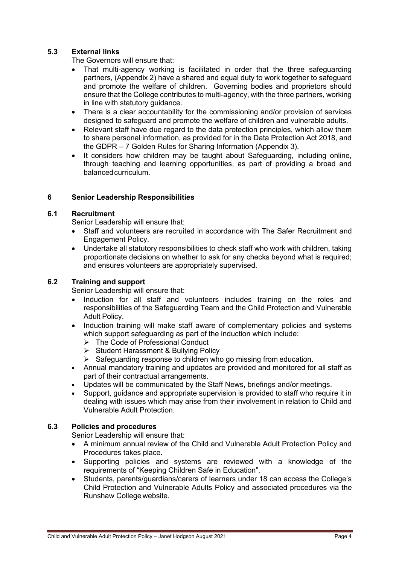# **5.3 External links**

The Governors will ensure that:

- That multi-agency working is facilitated in order that the three safeguarding partners, (Appendix 2) have a shared and equal duty to work together to safeguard and promote the welfare of children. Governing bodies and proprietors should ensure that the College contributes to multi-agency, with the three partners, working in line with statutory guidance.
- There is a clear accountability for the commissioning and/or provision of services designed to safeguard and promote the welfare of children and vulnerable adults.
- Relevant staff have due regard to the data protection principles, which allow them to share personal information, as provided for in the Data Protection Act 2018, and the GDPR – 7 Golden Rules for Sharing Information (Appendix 3).
- It considers how children may be taught about Safeguarding, including online, through teaching and learning opportunities, as part of providing a broad and balancedcurriculum.

## **6 Senior Leadership Responsibilities**

## **6.1 Recruitment**

Senior Leadership will ensure that:

- Staff and volunteers are recruited in accordance with The Safer Recruitment and Engagement Policy.
- Undertake all statutory responsibilities to check staff who work with children, taking proportionate decisions on whether to ask for any checks beyond what is required; and ensures volunteers are appropriately supervised.

# **6.2 Training and support**

Senior Leadership will ensure that:

- Induction for all staff and volunteers includes training on the roles and responsibilities of the Safeguarding Team and the Child Protection and Vulnerable Adult Policy.
- Induction training will make staff aware of complementary policies and systems which support safeguarding as part of the induction which include:
	- $\triangleright$  The Code of Professional Conduct
	- Ø Student Harassment & Bullying Policy
	- $\triangleright$  Safeguarding response to children who go missing from education.
- Annual mandatory training and updates are provided and monitored for all staff as part of their contractual arrangements.
- Updates will be communicated by the Staff News, briefings and/or meetings.
- Support, guidance and appropriate supervision is provided to staff who require it in dealing with issues which may arise from their involvement in relation to Child and Vulnerable Adult Protection.

## **6.3 Policies and procedures**

Senior Leadership will ensure that:

- A minimum annual review of the Child and Vulnerable Adult Protection Policy and Procedures takes place.
- Supporting policies and systems are reviewed with a knowledge of the requirements of "Keeping Children Safe in Education".
- Students, parents/guardians/carers of learners under 18 can access the College's Child Protection and Vulnerable Adults Policy and associated procedures via the Runshaw College website.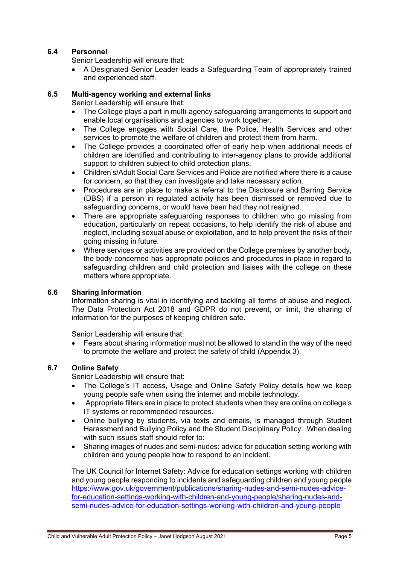# **6.4 Personnel**

Senior Leadership will ensure that:

• A Designated Senior Leader leads a Safeguarding Team of appropriately trained and experienced staff.

# **6.5 Multi-agency working and external links**

Senior Leadership will ensure that:

- The College plays a part in multi-agency safeguarding arrangements to support and enable local organisations and agencies to work together.
- The College engages with Social Care, the Police, Health Services and other services to promote the welfare of children and protect them from harm.
- The College provides a coordinated offer of early help when additional needs of children are identified and contributing to inter-agency plans to provide additional support to children subject to child protection plans.
- Children's/Adult Social Care Services and Police are notified where there is a cause for concern, so that they can investigate and take necessary action.
- Procedures are in place to make a referral to the Disclosure and Barring Service (DBS) if a person in regulated activity has been dismissed or removed due to safeguarding concerns, or would have been had they not resigned.
- There are appropriate safeguarding responses to children who go missing from education, particularly on repeat occasions, to help identify the risk of abuse and neglect, including sexual abuse or exploitation, and to help prevent the risks of their going missing in future.
- Where services or activities are provided on the College premises by another body, the body concerned has appropriate policies and procedures in place in regard to safeguarding children and child protection and liaises with the college on these matters where appropriate.

## **6.6 Sharing Information**

Information sharing is vital in identifying and tackling all forms of abuse and neglect. The Data Protection Act 2018 and GDPR do not prevent, or limit, the sharing of information for the purposes of keeping children safe.

Senior Leadership will ensure that:

• Fears about sharing information must not be allowed to stand in the way of the need to promote the welfare and protect the safety of child (Appendix 3).

## **6.7 Online Safety**

Senior Leadership will ensure that:

- The College's IT access, Usage and Online Safety Policy details how we keep young people safe when using the internet and mobile technology.
- Appropriate filters are in place to protect students when they are online on college's IT systems or recommended resources.
- Online bullying by students, via texts and emails, is managed through Student Harassment and Bullying Policy and the Student Disciplinary Policy. When dealing with such issues staff should refer to:
- Sharing images of nudes and semi-nudes: advice for education setting working with children and young people how to respond to an incident.

The UK Council for Internet Safety: Advice for education settings working with children and young people responding to incidents and safeguarding children and young people https://www.gov.uk/government/publications/sharing-nudes-and-semi-nudes-advicefor-education-settings-working-with-children-and-young-people/sharing-nudes-andsemi-nudes-advice-for-education-settings-working-with-children-and-young-people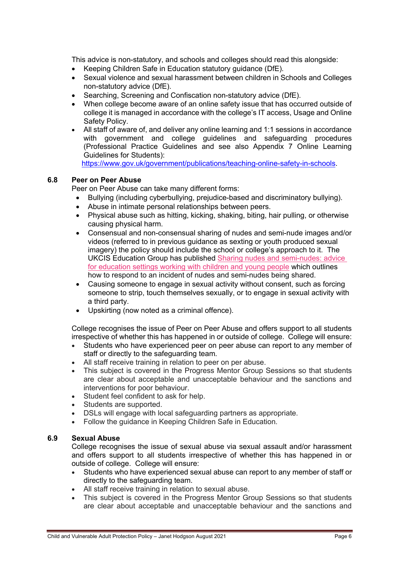This advice is non-statutory, and schools and colleges should read this alongside:

- Keeping Children Safe in Education statutory guidance (DfE).
- Sexual violence and sexual harassment between children in Schools and Colleges non-statutory advice (DfE).
- Searching, Screening and Confiscation non-statutory advice (DfE).
- When college become aware of an online safety issue that has occurred outside of college it is managed in accordance with the college's IT access, Usage and Online Safety Policy.
- All staff of aware of, and deliver any online learning and 1:1 sessions in accordance with government and college guidelines and safeguarding procedures (Professional Practice Guidelines and see also Appendix 7 Online Learning Guidelines for Students):

https://www.gov.uk/government/publications/teaching-online-safety-in-schools.

# **6.8 Peer on Peer Abuse**

Peer on Peer Abuse can take many different forms:

- Bullying (including cyberbullying, prejudice-based and discriminatory bullying).
- Abuse in intimate personal relationships between peers.
- Physical abuse such as hitting, kicking, shaking, biting, hair pulling, or otherwise causing physical harm.
- Consensual and non-consensual sharing of nudes and semi-nude images and/or videos (referred to in previous guidance as sexting or youth produced sexual imagery) the policy should include the school or college's approach to it. The UKCIS Education Group has published Sharing nudes and semi-nudes: advice for education settings working with children and young people which outlines how to respond to an incident of nudes and semi-nudes being shared.
- Causing someone to engage in sexual activity without consent, such as forcing someone to strip, touch themselves sexually, or to engage in sexual activity with a third party.
- Upskirting (now noted as a criminal offence).

College recognises the issue of Peer on Peer Abuse and offers support to all students irrespective of whether this has happened in or outside of college. College will ensure:

- Students who have experienced peer on peer abuse can report to any member of staff or directly to the safeguarding team.
- All staff receive training in relation to peer on per abuse.
- This subject is covered in the Progress Mentor Group Sessions so that students are clear about acceptable and unacceptable behaviour and the sanctions and interventions for poor behaviour.
- Student feel confident to ask for help.
- Students are supported.
- DSLs will engage with local safeguarding partners as appropriate.
- Follow the guidance in Keeping Children Safe in Education.

## **6.9 Sexual Abuse**

College recognises the issue of sexual abuse via sexual assault and/or harassment and offers support to all students irrespective of whether this has happened in or outside of college. College will ensure:

- Students who have experienced sexual abuse can report to any member of staff or directly to the safeguarding team.
- All staff receive training in relation to sexual abuse.
- This subject is covered in the Progress Mentor Group Sessions so that students are clear about acceptable and unacceptable behaviour and the sanctions and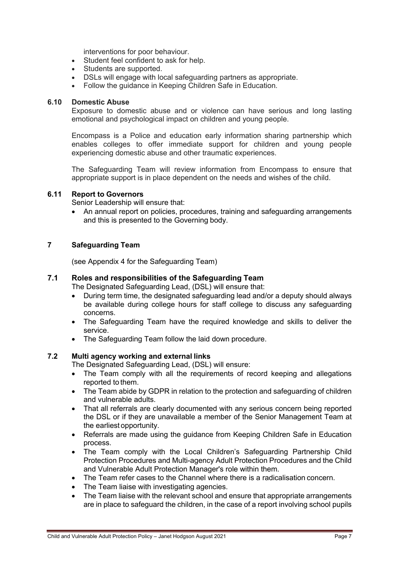interventions for poor behaviour.

- Student feel confident to ask for help.
- Students are supported.
- DSLs will engage with local safeguarding partners as appropriate.
- Follow the guidance in Keeping Children Safe in Education.

## **6.10 Domestic Abuse**

Exposure to domestic abuse and or violence can have serious and long lasting emotional and psychological impact on children and young people.

Encompass is a Police and education early information sharing partnership which enables colleges to offer immediate support for children and young people experiencing domestic abuse and other traumatic experiences.

The Safeguarding Team will review information from Encompass to ensure that appropriate support is in place dependent on the needs and wishes of the child.

#### **6.11 Report to Governors**

Senior Leadership will ensure that:

• An annual report on policies, procedures, training and safeguarding arrangements and this is presented to the Governing body.

#### **7 Safeguarding Team**

(see Appendix 4 for the Safeguarding Team)

# **7.1 Roles and responsibilities of the Safeguarding Team**

The Designated Safeguarding Lead, (DSL) will ensure that:

- During term time, the designated safeguarding lead and/or a deputy should always be available during college hours for staff college to discuss any safeguarding concerns.
- The Safeguarding Team have the required knowledge and skills to deliver the service.
- The Safeguarding Team follow the laid down procedure.

# **7.2 Multi agency working and external links**

The Designated Safeguarding Lead, (DSL) will ensure:

- The Team comply with all the requirements of record keeping and allegations reported to them.
- The Team abide by GDPR in relation to the protection and safequarding of children and vulnerable adults.
- That all referrals are clearly documented with any serious concern being reported the DSL or if they are unavailable a member of the Senior Management Team at the earliest opportunity.
- Referrals are made using the guidance from Keeping Children Safe in Education process.
- The Team comply with the Local Children's Safeguarding Partnership Child Protection Procedures and Multi-agency Adult Protection Procedures and the Child and Vulnerable Adult Protection Manager's role within them.
- The Team refer cases to the Channel where there is a radicalisation concern.
- The Team liaise with investigating agencies.
- The Team liaise with the relevant school and ensure that appropriate arrangements are in place to safeguard the children, in the case of a report involving school pupils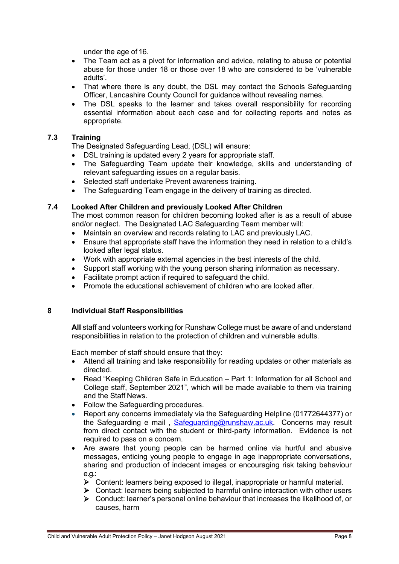under the age of 16.

- The Team act as a pivot for information and advice, relating to abuse or potential abuse for those under 18 or those over 18 who are considered to be 'vulnerable adults'.
- That where there is any doubt, the DSL may contact the Schools Safeguarding Officer, Lancashire County Council for guidance without revealing names.
- The DSL speaks to the learner and takes overall responsibility for recording essential information about each case and for collecting reports and notes as appropriate.

## **7.3 Training**

The Designated Safeguarding Lead, (DSL) will ensure:

- DSL training is updated every 2 years for appropriate staff.
- The Safeguarding Team update their knowledge, skills and understanding of relevant safeguarding issues on a regular basis.
- Selected staff undertake Prevent awareness training.
- The Safeguarding Team engage in the delivery of training as directed.

#### **7.4 Looked After Children and previously Looked After Children**

The most common reason for children becoming looked after is as a result of abuse and/or neglect. The Designated LAC Safeguarding Team member will:

- Maintain an overview and records relating to LAC and previously LAC.
- Ensure that appropriate staff have the information they need in relation to a child's looked after legal status.
- Work with appropriate external agencies in the best interests of the child.
- Support staff working with the young person sharing information as necessary.
- Facilitate prompt action if required to safeguard the child.
- Promote the educational achievement of children who are looked after.

#### **8 Individual Staff Responsibilities**

**All** staff and volunteers working for Runshaw College must be aware of and understand responsibilities in relation to the protection of children and vulnerable adults.

Each member of staff should ensure that they:

- Attend all training and take responsibility for reading updates or other materials as directed.
- Read "Keeping Children Safe in Education Part 1: Information for all School and College staff, September 2021", which will be made available to them via training and the Staff News.
- Follow the Safeguarding procedures.
- Report any concerns immediately via the Safeguarding Helpline (01772644377) or the Safeguarding e mail , Safeguarding@runshaw.ac.uk. Concerns may result from direct contact with the student or third-party information. Evidence is not required to pass on a concern.
- Are aware that young people can be harmed online via hurtful and abusive messages, enticing young people to engage in age inappropriate conversations, sharing and production of indecent images or encouraging risk taking behaviour e.g.:
	- $\triangleright$  Content: learners being exposed to illegal, inappropriate or harmful material.
	- $\triangleright$  Contact: learners being subjected to harmful online interaction with other users
	- $\triangleright$  Conduct: learner's personal online behaviour that increases the likelihood of, or causes, harm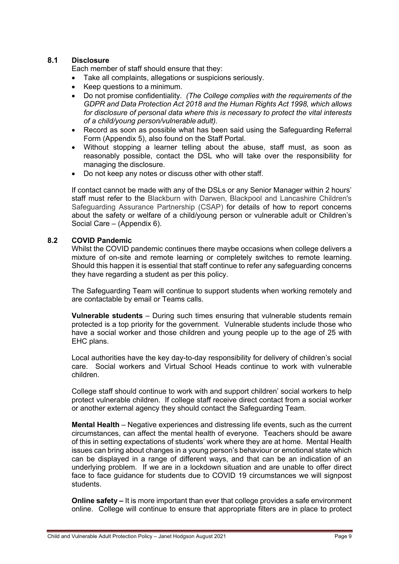# **8.1 Disclosure**

Each member of staff should ensure that they:

- Take all complaints, allegations or suspicions seriously.
- Keep questions to a minimum.
- Do not promise confidentiality*. (The College complies with the requirements of the GDPR and Data Protection Act 2018 and the Human Rights Act 1998, which allows for disclosure of personal data where this is necessary to protect the vital interests of a child/young person/vulnerable adult).*
- Record as soon as possible what has been said using the Safeguarding Referral Form (Appendix 5), also found on the Staff Portal.
- Without stopping a learner telling about the abuse, staff must, as soon as reasonably possible, contact the DSL who will take over the responsibility for managing the disclosure.
- Do not keep any notes or discuss other with other staff.

If contact cannot be made with any of the DSLs or any Senior Manager within 2 hours' staff must refer to the Blackburn with Darwen, Blackpool and Lancashire Children's Safeguarding Assurance Partnership (CSAP) for details of how to report concerns about the safety or welfare of a child/young person or vulnerable adult or Children's Social Care – (Appendix 6).

#### **8.2 COVID Pandemic**

Whilst the COVID pandemic continues there maybe occasions when college delivers a mixture of on-site and remote learning or completely switches to remote learning. Should this happen it is essential that staff continue to refer any safeguarding concerns they have regarding a student as per this policy.

The Safeguarding Team will continue to support students when working remotely and are contactable by email or Teams calls.

**Vulnerable students** – During such times ensuring that vulnerable students remain protected is a top priority for the government. Vulnerable students include those who have a social worker and those children and young people up to the age of 25 with EHC plans.

Local authorities have the key day-to-day responsibility for delivery of children's social care. Social workers and Virtual School Heads continue to work with vulnerable children.

College staff should continue to work with and support children' social workers to help protect vulnerable children. If college staff receive direct contact from a social worker or another external agency they should contact the Safeguarding Team.

**Mental Health** – Negative experiences and distressing life events, such as the current circumstances, can affect the mental health of everyone. Teachers should be aware of this in setting expectations of students' work where they are at home. Mental Health issues can bring about changes in a young person's behaviour or emotional state which can be displayed in a range of different ways, and that can be an indication of an underlying problem. If we are in a lockdown situation and are unable to offer direct face to face guidance for students due to COVID 19 circumstances we will signpost students.

**Online safety –** It is more important than ever that college provides a safe environment online. College will continue to ensure that appropriate filters are in place to protect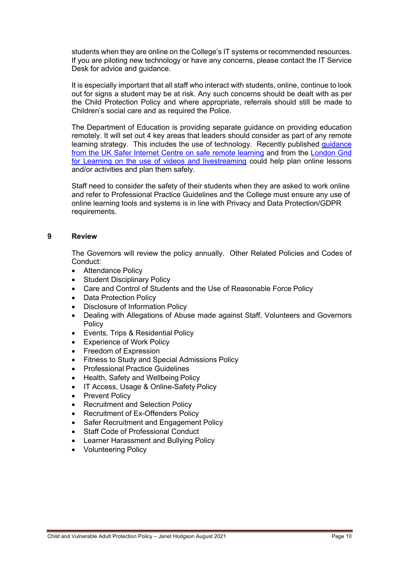students when they are online on the College's IT systems or recommended resources. If you are piloting new technology or have any concerns, please contact the IT Service Desk for advice and guidance.

It is especially important that all staff who interact with students, online, continue to look out for signs a student may be at risk. Any such concerns should be dealt with as per the Child Protection Policy and where appropriate, referrals should still be made to Children's social care and as required the Police.

The Department of Education is providing separate guidance on providing education remotely. It will set out 4 key areas that leaders should consider as part of any remote learning strategy. This includes the use of technology. Recently published guidance from the UK Safer Internet Centre on safe remote learning and from the London Grid for Learning on the use of videos and livestreaming could help plan online lessons and/or activities and plan them safely.

Staff need to consider the safety of their students when they are asked to work online and refer to Professional Practice Guidelines and the College must ensure any use of online learning tools and systems is in line with Privacy and Data Protection/GDPR requirements.

#### **9 Review**

The Governors will review the policy annually. Other Related Policies and Codes of Conduct:

- Attendance Policy
- Student Disciplinary Policy
- Care and Control of Students and the Use of Reasonable Force Policy
- Data Protection Policy
- Disclosure of Information Policy
- Dealing with Allegations of Abuse made against Staff, Volunteers and Governors **Policy**
- Events, Trips & Residential Policy
- Experience of Work Policy
- Freedom of Expression
- Fitness to Study and Special Admissions Policy
- Professional Practice Guidelines
- Health, Safety and Wellbeing Policy
- IT Access, Usage & Online-Safety Policy
- Prevent Policy
- Recruitment and Selection Policy
- Recruitment of Ex-Offenders Policy
- Safer Recruitment and Engagement Policy
- Staff Code of Professional Conduct
- Learner Harassment and Bullying Policy
- Volunteering Policy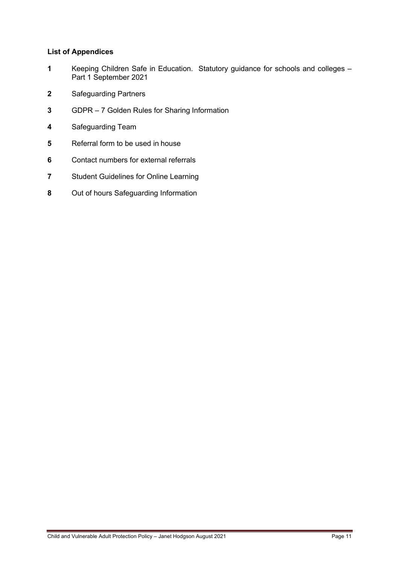## **List of Appendices**

- Keeping Children Safe in Education. Statutory guidance for schools and colleges Part 1 September 2021
- Safeguarding Partners
- GDPR 7 Golden Rules for Sharing Information
- Safeguarding Team
- Referral form to be used in house
- Contact numbers for external referrals
- Student Guidelines for Online Learning
- Out of hours Safeguarding Information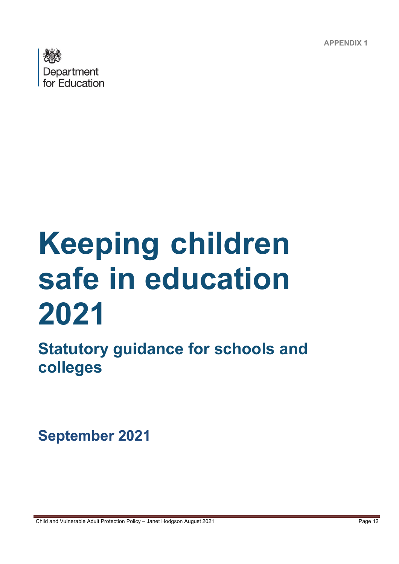**APPENDIX 1**



# **Keeping children safe in education 2021**

**Statutory guidance for schools and colleges**

**September 2021**

Child and Vulnerable Adult Protection Policy – Janet Hodgson August 2021 Page 12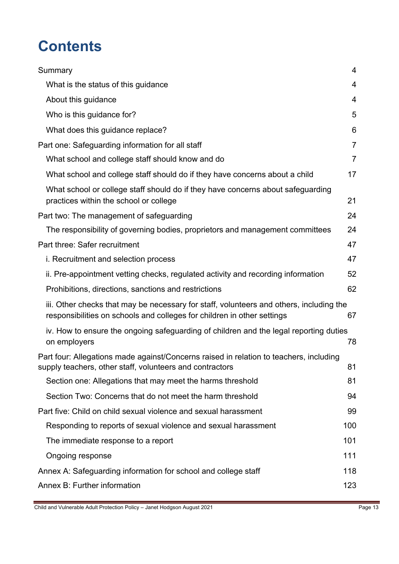# **Contents**

| Summary                                                                                                                                                            | 4              |
|--------------------------------------------------------------------------------------------------------------------------------------------------------------------|----------------|
| What is the status of this guidance                                                                                                                                | $\overline{4}$ |
| About this guidance                                                                                                                                                | $\overline{4}$ |
| Who is this guidance for?                                                                                                                                          | 5              |
| What does this guidance replace?                                                                                                                                   | 6              |
| Part one: Safeguarding information for all staff                                                                                                                   | $\overline{7}$ |
| What school and college staff should know and do                                                                                                                   | $\overline{7}$ |
| What school and college staff should do if they have concerns about a child                                                                                        | 17             |
| What school or college staff should do if they have concerns about safeguarding<br>practices within the school or college                                          | 21             |
| Part two: The management of safeguarding                                                                                                                           | 24             |
| The responsibility of governing bodies, proprietors and management committees                                                                                      | 24             |
| Part three: Safer recruitment                                                                                                                                      | 47             |
| <i>i.</i> Recruitment and selection process                                                                                                                        | 47             |
| ii. Pre-appointment vetting checks, regulated activity and recording information                                                                                   | 52             |
| Prohibitions, directions, sanctions and restrictions                                                                                                               | 62             |
| iii. Other checks that may be necessary for staff, volunteers and others, including the<br>responsibilities on schools and colleges for children in other settings | 67             |
| iv. How to ensure the ongoing safeguarding of children and the legal reporting duties<br>on employers                                                              | 78             |
| Part four: Allegations made against/Concerns raised in relation to teachers, including<br>supply teachers, other staff, volunteers and contractors                 | 81             |
| Section one: Allegations that may meet the harms threshold                                                                                                         | 81             |
| Section Two: Concerns that do not meet the harm threshold                                                                                                          | 94             |
| Part five: Child on child sexual violence and sexual harassment                                                                                                    | 99             |
| Responding to reports of sexual violence and sexual harassment                                                                                                     | 100            |
| The immediate response to a report                                                                                                                                 | 101            |
| Ongoing response                                                                                                                                                   | 111            |
| Annex A: Safeguarding information for school and college staff                                                                                                     | 118            |
| Annex B: Further information                                                                                                                                       | 123            |

Child and Vulnerable Adult Protection Policy – Janet Hodgson August 2021 Page 13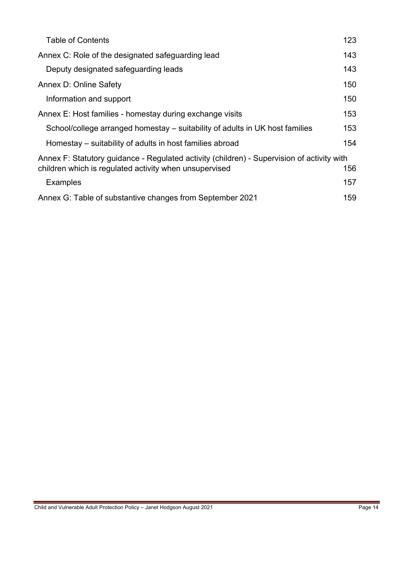| <b>Table of Contents</b>                                                                   | 123 |
|--------------------------------------------------------------------------------------------|-----|
| Annex C: Role of the designated safeguarding lead                                          | 143 |
| Deputy designated safeguarding leads                                                       | 143 |
| Annex D: Online Safety                                                                     | 150 |
| Information and support                                                                    | 150 |
| Annex E: Host families - homestay during exchange visits                                   | 153 |
| School/college arranged homestay – suitability of adults in UK host families               | 153 |
| Homestay – suitability of adults in host families abroad                                   | 154 |
| Annex F: Statutory guidance - Regulated activity (children) - Supervision of activity with |     |
| children which is regulated activity when unsupervised                                     | 156 |
| <b>Examples</b>                                                                            | 157 |
| Annex G: Table of substantive changes from September 2021                                  | 159 |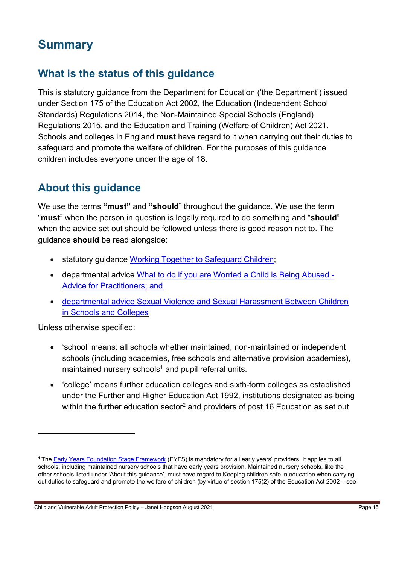# **Summary**

# **What is the status of this guidance**

This is statutory guidance from the Department for Education ('the Department') issued under Section 175 of the Education Act 2002, the Education (Independent School Standards) Regulations 2014, the Non-Maintained Special Schools (England) Regulations 2015, and the Education and Training (Welfare of Children) Act 2021. Schools and colleges in England **must** have regard to it when carrying out their duties to safeguard and promote the welfare of children. For the purposes of this guidance children includes everyone under the age of 18.

# **About this guidance**

We use the terms **"must"** and **"should**" throughout the guidance. We use the term "**must**" when the person in question is legally required to do something and "**should**" when the advice set out should be followed unless there is good reason not to. The guidance **should** be read alongside:

- statutory guidance Working Together to Safeguard Children;
- departmental advice What to do if you are Worried a Child is Being Abused Advice for Practitioners; and
- departmental advice Sexual Violence and Sexual Harassment Between Children in Schools and Colleges

Unless otherwise specified:

- 'school' means: all schools whether maintained, non-maintained or independent schools (including academies, free schools and alternative provision academies), maintained nursery schools<sup>1</sup> and pupil referral units.
- 'college' means further education colleges and sixth-form colleges as established under the Further and Higher Education Act 1992, institutions designated as being within the further education sector<sup>2</sup> and providers of post 16 Education as set out

Child and Vulnerable Adult Protection Policy – Janet Hodgson August 2021 **Page 15** Page 15

<sup>1</sup> The Early Years Foundation Stage Framework (EYFS) is mandatory for all early years' providers. It applies to all schools, including maintained nursery schools that have early years provision. Maintained nursery schools, like the other schools listed under 'About this guidance', must have regard to Keeping children safe in education when carrying out duties to safeguard and promote the welfare of children (by virtue of section 175(2) of the Education Act 2002 – see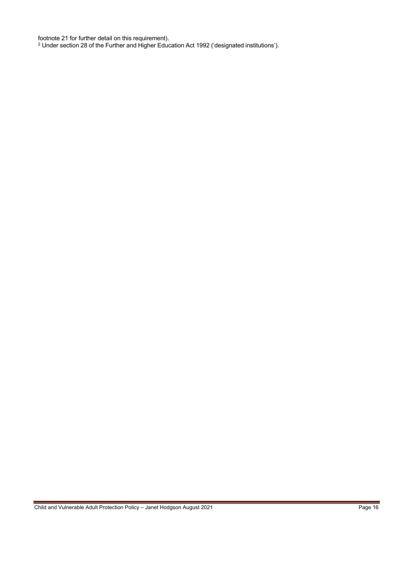footnote 21 for further detail on this requirement).

<sup>2</sup> Under section 28 of the Further and Higher Education Act 1992 ('designated institutions').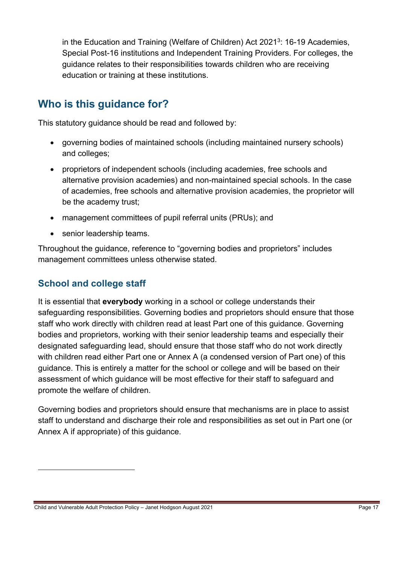in the Education and Training (Welfare of Children) Act 2021<sup>3</sup>: 16-19 Academies, Special Post-16 institutions and Independent Training Providers. For colleges, the guidance relates to their responsibilities towards children who are receiving education or training at these institutions.

# **Who is this guidance for?**

This statutory guidance should be read and followed by:

- governing bodies of maintained schools (including maintained nursery schools) and colleges;
- proprietors of independent schools (including academies, free schools and alternative provision academies) and non-maintained special schools. In the case of academies, free schools and alternative provision academies, the proprietor will be the academy trust;
- management committees of pupil referral units (PRUs); and
- senior leadership teams.

Throughout the guidance, reference to "governing bodies and proprietors" includes management committees unless otherwise stated.

# **School and college staff**

It is essential that **everybody** working in a school or college understands their safeguarding responsibilities. Governing bodies and proprietors should ensure that those staff who work directly with children read at least Part one of this guidance. Governing bodies and proprietors, working with their senior leadership teams and especially their designated safeguarding lead, should ensure that those staff who do not work directly with children read either Part one or Annex A (a condensed version of Part one) of this guidance. This is entirely a matter for the school or college and will be based on their assessment of which guidance will be most effective for their staff to safeguard and promote the welfare of children.

Governing bodies and proprietors should ensure that mechanisms are in place to assist staff to understand and discharge their role and responsibilities as set out in Part one (or Annex A if appropriate) of this guidance.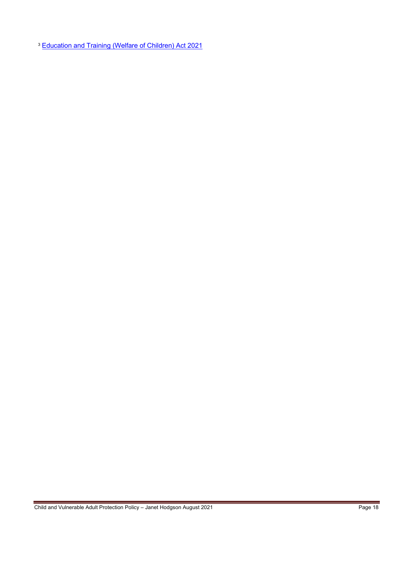<sup>3</sup> Education and Training (Welfare of Children) Act 2021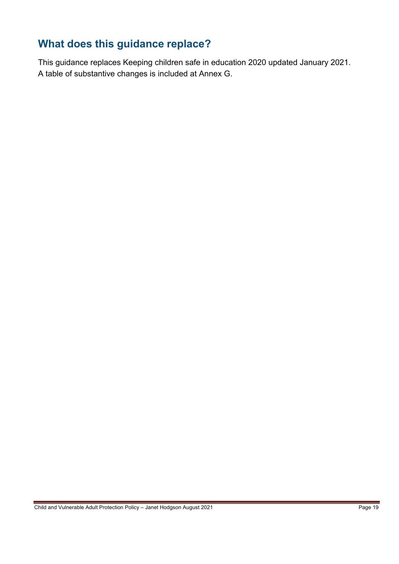# **What does this guidance replace?**

This guidance replaces Keeping children safe in education 2020 updated January 2021. A table of substantive changes is included at Annex G.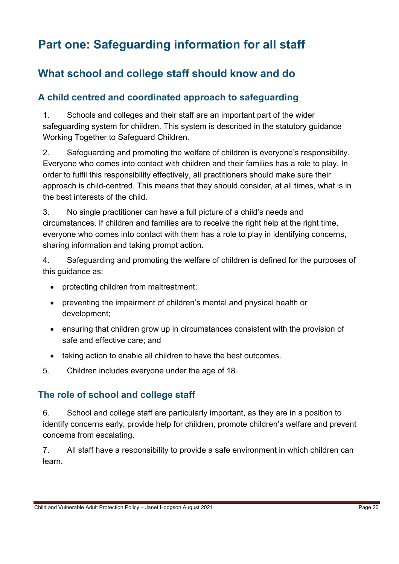# **Part one: Safeguarding information for all staff**

# **What school and college staff should know and do**

# **A child centred and coordinated approach to safeguarding**

1. Schools and colleges and their staff are an important part of the wider safeguarding system for children. This system is described in the statutory guidance Working Together to Safeguard Children.

2. Safeguarding and promoting the welfare of children is everyone's responsibility. Everyone who comes into contact with children and their families has a role to play. In order to fulfil this responsibility effectively, all practitioners should make sure their approach is child-centred. This means that they should consider, at all times, what is in the best interests of the child.

3. No single practitioner can have a full picture of a child's needs and circumstances. If children and families are to receive the right help at the right time, everyone who comes into contact with them has a role to play in identifying concerns, sharing information and taking prompt action.

4. Safeguarding and promoting the welfare of children is defined for the purposes of this guidance as:

- protecting children from maltreatment;
- preventing the impairment of children's mental and physical health or development;
- ensuring that children grow up in circumstances consistent with the provision of safe and effective care; and
- taking action to enable all children to have the best outcomes.
- 5. Children includes everyone under the age of 18.

# **The role of school and college staff**

6. School and college staff are particularly important, as they are in a position to identify concerns early, provide help for children, promote children's welfare and prevent concerns from escalating.

7. All staff have a responsibility to provide a safe environment in which children can learn.

Child and Vulnerable Adult Protection Policy – Janet Hodgson August 2021 Page 20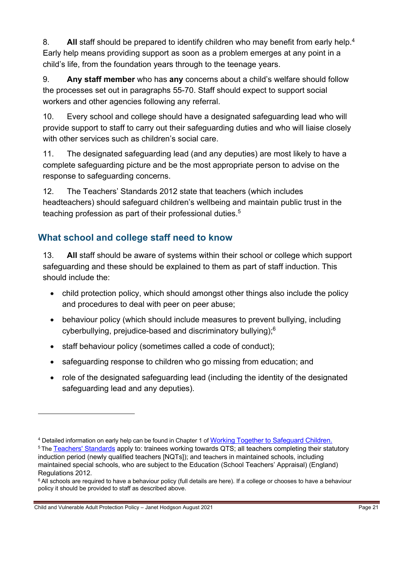8. **All staff should be prepared to identify children who may benefit from early help.<sup>4</sup>** Early help means providing support as soon as a problem emerges at any point in a child's life, from the foundation years through to the teenage years.

9. **Any staff member** who has **any** concerns about a child's welfare should follow the processes set out in paragraphs 55-70. Staff should expect to support social workers and other agencies following any referral.

10. Every school and college should have a designated safeguarding lead who will provide support to staff to carry out their safeguarding duties and who will liaise closely with other services such as children's social care.

11. The designated safeguarding lead (and any deputies) are most likely to have a complete safeguarding picture and be the most appropriate person to advise on the response to safeguarding concerns.

12. The Teachers' Standards 2012 state that teachers (which includes headteachers) should safeguard children's wellbeing and maintain public trust in the teaching profession as part of their professional duties.<sup>5</sup>

# **What school and college staff need to know**

13. **All** staff should be aware of systems within their school or college which support safeguarding and these should be explained to them as part of staff induction. This should include the:

- child protection policy, which should amongst other things also include the policy and procedures to deal with peer on peer abuse;
- behaviour policy (which should include measures to prevent bullying, including cyberbullying, prejudice-based and discriminatory bullying);6
- staff behaviour policy (sometimes called a code of conduct);
- safeguarding response to children who go missing from education; and
- role of the designated safeguarding lead (including the identity of the designated safeguarding lead and any deputies).

<sup>4</sup> Detailed information on early help can be found in Chapter 1 of Working Together to Safeguard Children.

<sup>&</sup>lt;sup>5</sup> The Teachers' Standards apply to: trainees working towards QTS; all teachers completing their statutory induction period (newly qualified teachers [NQTs]); and teachers in maintained schools, including maintained special schools, who are subject to the Education (School Teachers' Appraisal) (England) Regulations 2012.

<sup>&</sup>lt;sup>6</sup> All schools are required to have a behaviour policy (full details are here). If a college or chooses to have a behaviour policy it should be provided to staff as described above.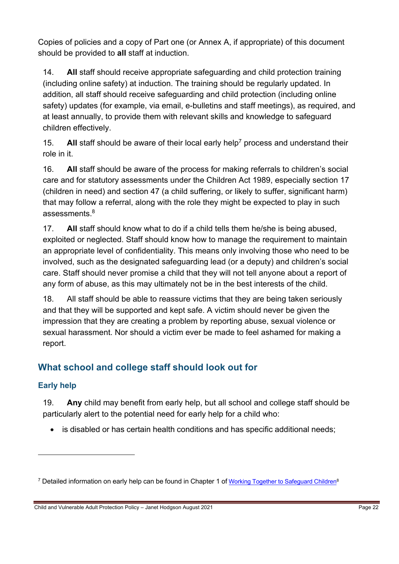Copies of policies and a copy of Part one (or Annex A, if appropriate) of this document should be provided to **all** staff at induction.

14. **All** staff should receive appropriate safeguarding and child protection training (including online safety) at induction. The training should be regularly updated. In addition, all staff should receive safeguarding and child protection (including online safety) updates (for example, via email, e-bulletins and staff meetings), as required, and at least annually, to provide them with relevant skills and knowledge to safeguard children effectively.

15. **All** staff should be aware of their local early help<sup>7</sup> process and understand their role in it.

16. **All** staff should be aware of the process for making referrals to children's social care and for statutory assessments under the Children Act 1989, especially section 17 (children in need) and section 47 (a child suffering, or likely to suffer, significant harm) that may follow a referral, along with the role they might be expected to play in such assessments. $^8$ 

17. **All** staff should know what to do if a child tells them he/she is being abused, exploited or neglected. Staff should know how to manage the requirement to maintain an appropriate level of confidentiality. This means only involving those who need to be involved, such as the designated safeguarding lead (or a deputy) and children's social care. Staff should never promise a child that they will not tell anyone about a report of any form of abuse, as this may ultimately not be in the best interests of the child.

18. All staff should be able to reassure victims that they are being taken seriously and that they will be supported and kept safe. A victim should never be given the impression that they are creating a problem by reporting abuse, sexual violence or sexual harassment. Nor should a victim ever be made to feel ashamed for making a report.

# **What school and college staff should look out for**

# **Early help**

19. **Any** child may benefit from early help, but all school and college staff should be particularly alert to the potential need for early help for a child who:

• is disabled or has certain health conditions and has specific additional needs;

<sup>&</sup>lt;sup>7</sup> Detailed information on early help can be found in Chapter 1 of Working Together to Safeguard Children<sup>8</sup>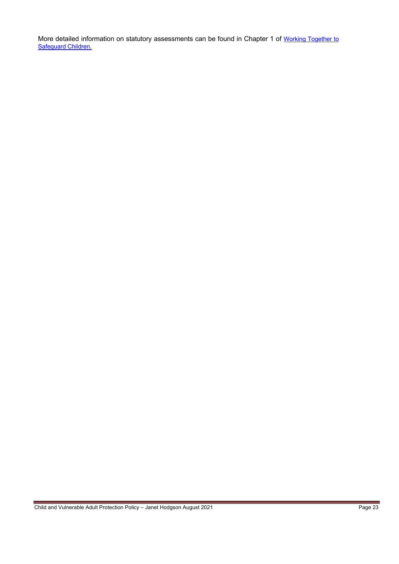More detailed information on statutory assessments can be found in Chapter 1 of Working Together to Safeguard Children.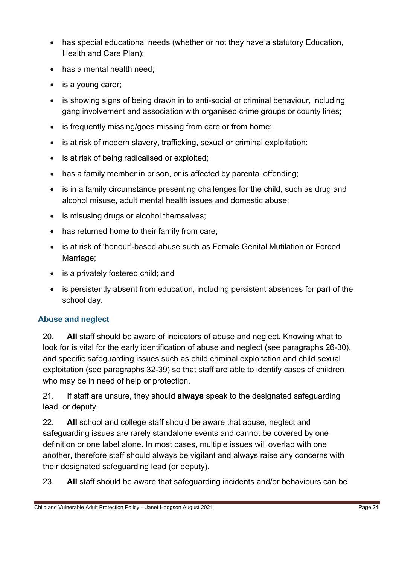- has special educational needs (whether or not they have a statutory Education, Health and Care Plan);
- has a mental health need;
- is a young carer;
- is showing signs of being drawn in to anti-social or criminal behaviour, including gang involvement and association with organised crime groups or county lines;
- is frequently missing/goes missing from care or from home;
- is at risk of modern slavery, trafficking, sexual or criminal exploitation;
- is at risk of being radicalised or exploited;
- has a family member in prison, or is affected by parental offending;
- is in a family circumstance presenting challenges for the child, such as drug and alcohol misuse, adult mental health issues and domestic abuse;
- is misusing drugs or alcohol themselves;
- has returned home to their family from care;
- is at risk of 'honour'-based abuse such as Female Genital Mutilation or Forced Marriage;
- is a privately fostered child; and
- is persistently absent from education, including persistent absences for part of the school day.

# **Abuse and neglect**

20. **All** staff should be aware of indicators of abuse and neglect. Knowing what to look for is vital for the early identification of abuse and neglect (see paragraphs 26-30), and specific safeguarding issues such as child criminal exploitation and child sexual exploitation (see paragraphs 32-39) so that staff are able to identify cases of children who may be in need of help or protection.

21. If staff are unsure, they should **always** speak to the designated safeguarding lead, or deputy.

22. **All** school and college staff should be aware that abuse, neglect and safeguarding issues are rarely standalone events and cannot be covered by one definition or one label alone. In most cases, multiple issues will overlap with one another, therefore staff should always be vigilant and always raise any concerns with their designated safeguarding lead (or deputy).

23. **All** staff should be aware that safeguarding incidents and/or behaviours can be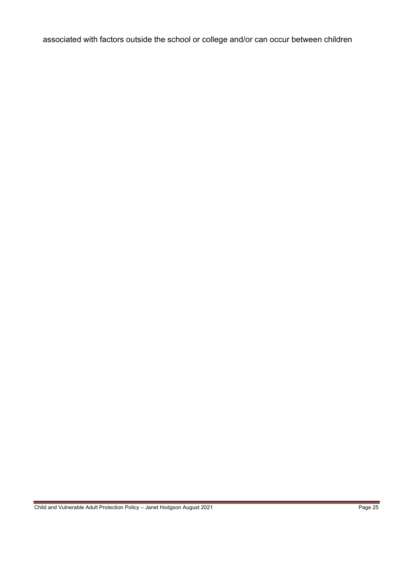associated with factors outside the school or college and/or can occur between children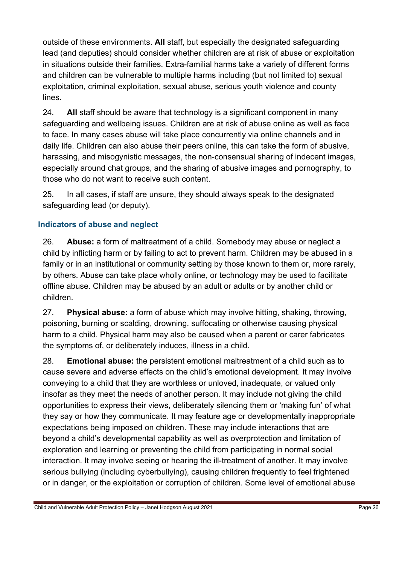outside of these environments. **All** staff, but especially the designated safeguarding lead (and deputies) should consider whether children are at risk of abuse or exploitation in situations outside their families. Extra-familial harms take a variety of different forms and children can be vulnerable to multiple harms including (but not limited to) sexual exploitation, criminal exploitation, sexual abuse, serious youth violence and county lines.

24. **All** staff should be aware that technology is a significant component in many safeguarding and wellbeing issues. Children are at risk of abuse online as well as face to face. In many cases abuse will take place concurrently via online channels and in daily life. Children can also abuse their peers online, this can take the form of abusive, harassing, and misogynistic messages, the non-consensual sharing of indecent images, especially around chat groups, and the sharing of abusive images and pornography, to those who do not want to receive such content.

25. In all cases, if staff are unsure, they should always speak to the designated safeguarding lead (or deputy).

# **Indicators of abuse and neglect**

26. **Abuse:** a form of maltreatment of a child. Somebody may abuse or neglect a child by inflicting harm or by failing to act to prevent harm. Children may be abused in a family or in an institutional or community setting by those known to them or, more rarely, by others. Abuse can take place wholly online, or technology may be used to facilitate offline abuse. Children may be abused by an adult or adults or by another child or children.

27. **Physical abuse:** a form of abuse which may involve hitting, shaking, throwing, poisoning, burning or scalding, drowning, suffocating or otherwise causing physical harm to a child. Physical harm may also be caused when a parent or carer fabricates the symptoms of, or deliberately induces, illness in a child.

28. **Emotional abuse:** the persistent emotional maltreatment of a child such as to cause severe and adverse effects on the child's emotional development. It may involve conveying to a child that they are worthless or unloved, inadequate, or valued only insofar as they meet the needs of another person. It may include not giving the child opportunities to express their views, deliberately silencing them or 'making fun' of what they say or how they communicate. It may feature age or developmentally inappropriate expectations being imposed on children. These may include interactions that are beyond a child's developmental capability as well as overprotection and limitation of exploration and learning or preventing the child from participating in normal social interaction. It may involve seeing or hearing the ill-treatment of another. It may involve serious bullying (including cyberbullying), causing children frequently to feel frightened or in danger, or the exploitation or corruption of children. Some level of emotional abuse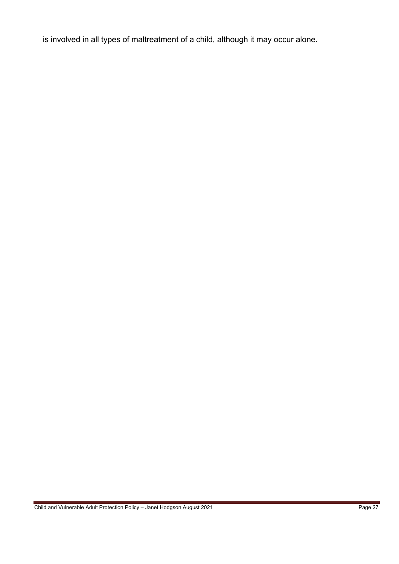is involved in all types of maltreatment of a child, although it may occur alone.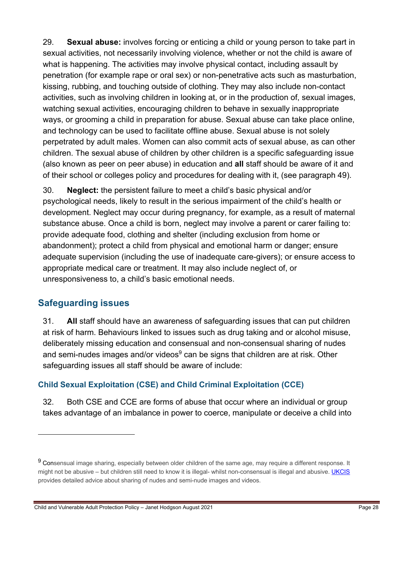29. **Sexual abuse:** involves forcing or enticing a child or young person to take part in sexual activities, not necessarily involving violence, whether or not the child is aware of what is happening. The activities may involve physical contact, including assault by penetration (for example rape or oral sex) or non-penetrative acts such as masturbation, kissing, rubbing, and touching outside of clothing. They may also include non-contact activities, such as involving children in looking at, or in the production of, sexual images, watching sexual activities, encouraging children to behave in sexually inappropriate ways, or grooming a child in preparation for abuse. Sexual abuse can take place online, and technology can be used to facilitate offline abuse. Sexual abuse is not solely perpetrated by adult males. Women can also commit acts of sexual abuse, as can other children. The sexual abuse of children by other children is a specific safeguarding issue (also known as peer on peer abuse) in education and **all** staff should be aware of it and of their school or colleges policy and procedures for dealing with it, (see paragraph 49).

30. **Neglect:** the persistent failure to meet a child's basic physical and/or psychological needs, likely to result in the serious impairment of the child's health or development. Neglect may occur during pregnancy, for example, as a result of maternal substance abuse. Once a child is born, neglect may involve a parent or carer failing to: provide adequate food, clothing and shelter (including exclusion from home or abandonment); protect a child from physical and emotional harm or danger; ensure adequate supervision (including the use of inadequate care-givers); or ensure access to appropriate medical care or treatment. It may also include neglect of, or unresponsiveness to, a child's basic emotional needs.

# **Safeguarding issues**

31. **All** staff should have an awareness of safeguarding issues that can put children at risk of harm. Behaviours linked to issues such as drug taking and or alcohol misuse, deliberately missing education and consensual and non-consensual sharing of nudes and semi-nudes images and/or videos $9$  can be signs that children are at risk. Other safeguarding issues all staff should be aware of include:

# **Child Sexual Exploitation (CSE) and Child Criminal Exploitation (CCE)**

32. Both CSE and CCE are forms of abuse that occur where an individual or group takes advantage of an imbalance in power to coerce, manipulate or deceive a child into

Child and Vulnerable Adult Protection Policy – Janet Hodgson August 2021 Child and Vulnerable Adult Protection Policy – Janet Hodgson August 2021

<sup>9</sup> Consensual image sharing, especially between older children of the same age, may require a different response. It might not be abusive – but children still need to know it is illegal- whilst non-consensual is illegal and abusive. UKCIS provides detailed advice about sharing of nudes and semi-nude images and videos.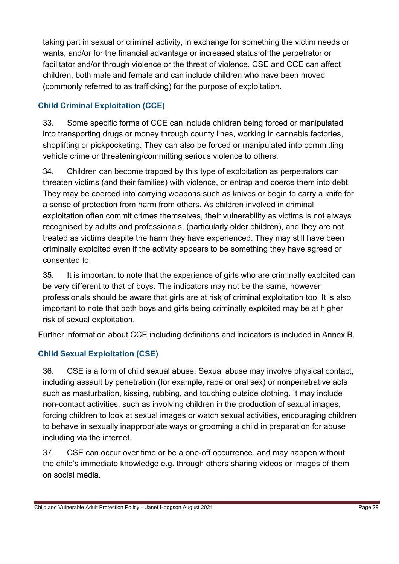taking part in sexual or criminal activity, in exchange for something the victim needs or wants, and/or for the financial advantage or increased status of the perpetrator or facilitator and/or through violence or the threat of violence. CSE and CCE can affect children, both male and female and can include children who have been moved (commonly referred to as trafficking) for the purpose of exploitation.

# **Child Criminal Exploitation (CCE)**

33. Some specific forms of CCE can include children being forced or manipulated into transporting drugs or money through county lines, working in cannabis factories, shoplifting or pickpocketing. They can also be forced or manipulated into committing vehicle crime or threatening/committing serious violence to others.

34. Children can become trapped by this type of exploitation as perpetrators can threaten victims (and their families) with violence, or entrap and coerce them into debt. They may be coerced into carrying weapons such as knives or begin to carry a knife for a sense of protection from harm from others. As children involved in criminal exploitation often commit crimes themselves, their vulnerability as victims is not always recognised by adults and professionals, (particularly older children), and they are not treated as victims despite the harm they have experienced. They may still have been criminally exploited even if the activity appears to be something they have agreed or consented to.

35. It is important to note that the experience of girls who are criminally exploited can be very different to that of boys. The indicators may not be the same, however professionals should be aware that girls are at risk of criminal exploitation too. It is also important to note that both boys and girls being criminally exploited may be at higher risk of sexual exploitation.

Further information about CCE including definitions and indicators is included in Annex B.

# **Child Sexual Exploitation (CSE)**

36. CSE is a form of child sexual abuse. Sexual abuse may involve physical contact, including assault by penetration (for example, rape or oral sex) or nonpenetrative acts such as masturbation, kissing, rubbing, and touching outside clothing. It may include non-contact activities, such as involving children in the production of sexual images, forcing children to look at sexual images or watch sexual activities, encouraging children to behave in sexually inappropriate ways or grooming a child in preparation for abuse including via the internet.

37. CSE can occur over time or be a one-off occurrence, and may happen without the child's immediate knowledge e.g. through others sharing videos or images of them on social media.

Child and Vulnerable Adult Protection Policy – Janet Hodgson August 2021 Page 29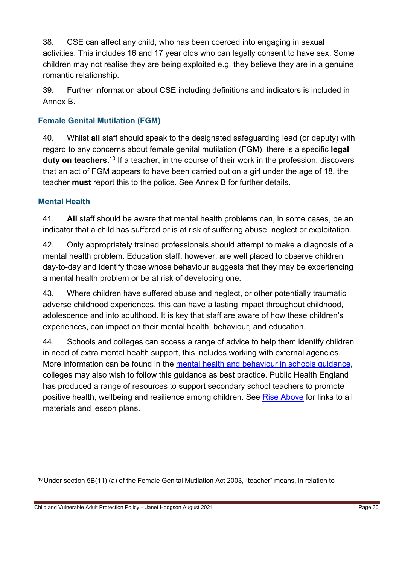38. CSE can affect any child, who has been coerced into engaging in sexual activities. This includes 16 and 17 year olds who can legally consent to have sex. Some children may not realise they are being exploited e.g. they believe they are in a genuine romantic relationship.

39. Further information about CSE including definitions and indicators is included in Annex B.

# **Female Genital Mutilation (FGM)**

40. Whilst **all** staff should speak to the designated safeguarding lead (or deputy) with regard to any concerns about female genital mutilation (FGM), there is a specific **legal** duty on teachers.<sup>10</sup> If a teacher, in the course of their work in the profession, discovers that an act of FGM appears to have been carried out on a girl under the age of 18, the teacher **must** report this to the police. See Annex B for further details.

# **Mental Health**

41. **All** staff should be aware that mental health problems can, in some cases, be an indicator that a child has suffered or is at risk of suffering abuse, neglect or exploitation.

42. Only appropriately trained professionals should attempt to make a diagnosis of a mental health problem. Education staff, however, are well placed to observe children day-to-day and identify those whose behaviour suggests that they may be experiencing a mental health problem or be at risk of developing one.

43. Where children have suffered abuse and neglect, or other potentially traumatic adverse childhood experiences, this can have a lasting impact throughout childhood, adolescence and into adulthood. It is key that staff are aware of how these children's experiences, can impact on their mental health, behaviour, and education.

44. Schools and colleges can access a range of advice to help them identify children in need of extra mental health support, this includes working with external agencies. More information can be found in the mental health and behaviour in schools guidance, colleges may also wish to follow this guidance as best practice. Public Health England has produced a range of resources to support secondary school teachers to promote positive health, wellbeing and resilience among children. See Rise Above for links to all materials and lesson plans.

<sup>10</sup> Under section 5B(11) (a) of the Female Genital Mutilation Act 2003, "teacher" means, in relation to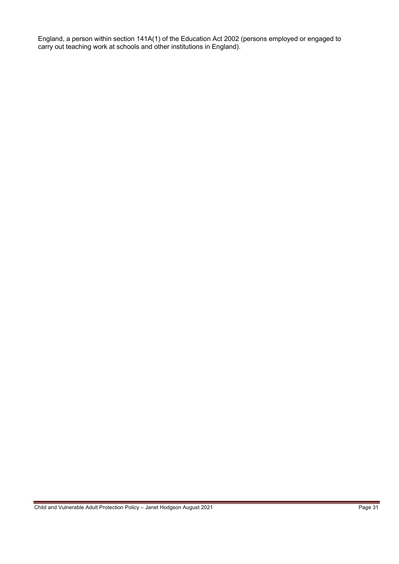England, a person within section 141A(1) of the Education Act 2002 (persons employed or engaged to carry out teaching work at schools and other institutions in England).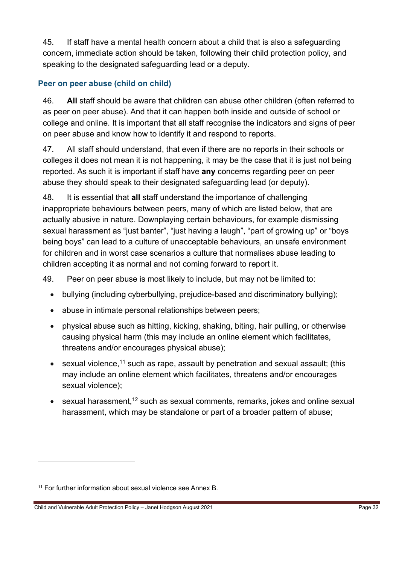45. If staff have a mental health concern about a child that is also a safeguarding concern, immediate action should be taken, following their child protection policy, and speaking to the designated safeguarding lead or a deputy.

# **Peer on peer abuse (child on child)**

46. **All** staff should be aware that children can abuse other children (often referred to as peer on peer abuse). And that it can happen both inside and outside of school or college and online. It is important that all staff recognise the indicators and signs of peer on peer abuse and know how to identify it and respond to reports.

47. All staff should understand, that even if there are no reports in their schools or colleges it does not mean it is not happening, it may be the case that it is just not being reported. As such it is important if staff have **any** concerns regarding peer on peer abuse they should speak to their designated safeguarding lead (or deputy).

48. It is essential that **all** staff understand the importance of challenging inappropriate behaviours between peers, many of which are listed below, that are actually abusive in nature. Downplaying certain behaviours, for example dismissing sexual harassment as "just banter", "just having a laugh", "part of growing up" or "boys being boys" can lead to a culture of unacceptable behaviours, an unsafe environment for children and in worst case scenarios a culture that normalises abuse leading to children accepting it as normal and not coming forward to report it.

49. Peer on peer abuse is most likely to include, but may not be limited to:

- bullying (including cyberbullying, prejudice-based and discriminatory bullying);
- abuse in intimate personal relationships between peers;
- physical abuse such as hitting, kicking, shaking, biting, hair pulling, or otherwise causing physical harm (this may include an online element which facilitates, threatens and/or encourages physical abuse);
- sexual violence,  $11$  such as rape, assault by penetration and sexual assault; (this may include an online element which facilitates, threatens and/or encourages sexual violence);
- sexual harassment,<sup>12</sup> such as sexual comments, remarks, jokes and online sexual harassment, which may be standalone or part of a broader pattern of abuse;

<sup>&</sup>lt;sup>11</sup> For further information about sexual violence see Annex B.

Child and Vulnerable Adult Protection Policy – Janet Hodgson August 2021 Page 32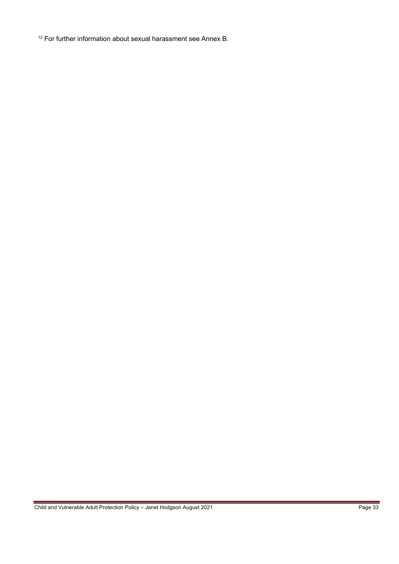<sup>12</sup> For further information about sexual harassment see Annex B.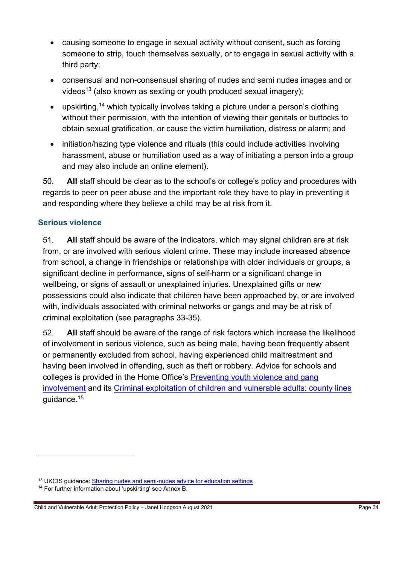- causing someone to engage in sexual activity without consent, such as forcing someone to strip, touch themselves sexually, or to engage in sexual activity with a third party;
- consensual and non-consensual sharing of nudes and semi nudes images and or videos<sup>13</sup> (also known as sexting or youth produced sexual imagery);
- upskirting.<sup>14</sup> which typically involves taking a picture under a person's clothing without their permission, with the intention of viewing their genitals or buttocks to obtain sexual gratification, or cause the victim humiliation, distress or alarm; and
- initiation/hazing type violence and rituals (this could include activities involving harassment, abuse or humiliation used as a way of initiating a person into a group and may also include an online element).

50. **All** staff should be clear as to the school's or college's policy and procedures with regards to peer on peer abuse and the important role they have to play in preventing it and responding where they believe a child may be at risk from it.

# **Serious violence**

51. **All** staff should be aware of the indicators, which may signal children are at risk from, or are involved with serious violent crime. These may include increased absence from school, a change in friendships or relationships with older individuals or groups, a significant decline in performance, signs of self-harm or a significant change in wellbeing, or signs of assault or unexplained injuries. Unexplained gifts or new possessions could also indicate that children have been approached by, or are involved with, individuals associated with criminal networks or gangs and may be at risk of criminal exploitation (see paragraphs 33-35).

52. **All** staff should be aware of the range of risk factors which increase the likelihood of involvement in serious violence, such as being male, having been frequently absent or permanently excluded from school, having experienced child maltreatment and having been involved in offending, such as theft or robbery. Advice for schools and colleges is provided in the Home Office's Preventing youth violence and gang involvement and its Criminal exploitation of children and vulnerable adults: county lines guidance.15

<sup>&</sup>lt;sup>13</sup> UKCIS guidance: Sharing nudes and semi-nudes advice for education settings

<sup>14</sup> For further information about 'upskirting' see Annex B.

Child and Vulnerable Adult Protection Policy – Janet Hodgson August 2021 **Page 34** Page 34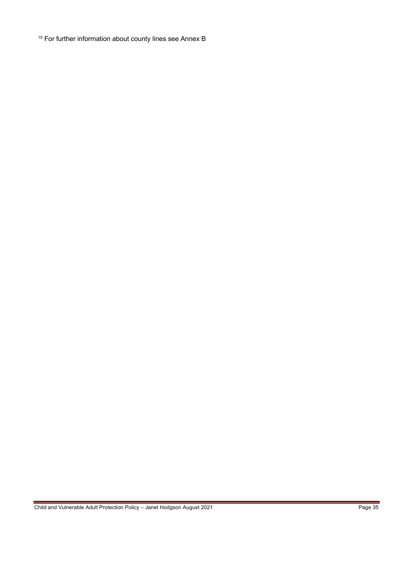<sup>15</sup> For further information about county lines see Annex B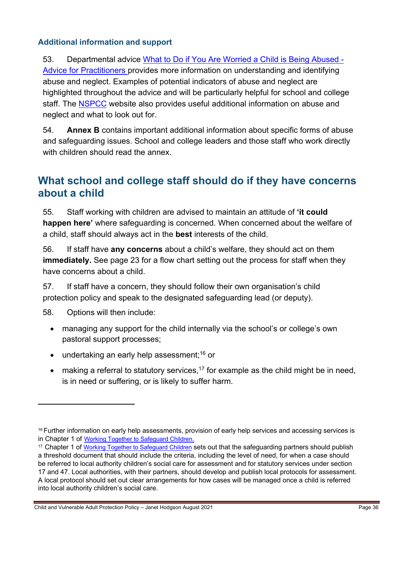# **Additional information and support**

53. Departmental advice What to Do if You Are Worried a Child is Being Abused - Advice for Practitioners provides more information on understanding and identifying abuse and neglect. Examples of potential indicators of abuse and neglect are highlighted throughout the advice and will be particularly helpful for school and college staff. The NSPCC website also provides useful additional information on abuse and neglect and what to look out for.

54. **Annex B** contains important additional information about specific forms of abuse and safeguarding issues. School and college leaders and those staff who work directly with children should read the annex.

# **What school and college staff should do if they have concerns about a child**

55. Staff working with children are advised to maintain an attitude of **'it could happen here'** where safeguarding is concerned. When concerned about the welfare of a child, staff should always act in the **best** interests of the child.

56. If staff have **any concerns** about a child's welfare, they should act on them **immediately.** See page 23 for a flow chart setting out the process for staff when they have concerns about a child.

57. If staff have a concern, they should follow their own organisation's child protection policy and speak to the designated safeguarding lead (or deputy).

58. Options will then include:

- managing any support for the child internally via the school's or college's own pastoral support processes;
- undertaking an early help assessment;<sup>16</sup> or
- making a referral to statutory services.<sup>17</sup> for example as the child might be in need. is in need or suffering, or is likely to suffer harm.

Child and Vulnerable Adult Protection Policy – Janet Hodgson August 2021 Page 36

<sup>&</sup>lt;sup>16</sup> Further information on early help assessments, provision of early help services and accessing services is in Chapter 1 of Working Together to Safeguard Children.

<sup>&</sup>lt;sup>17</sup> Chapter 1 of Working Together to Safeguard Children sets out that the safeguarding partners should publish a threshold document that should include the criteria, including the level of need, for when a case should be referred to local authority children's social care for assessment and for statutory services under section 17 and 47. Local authorities, with their partners, should develop and publish local protocols for assessment. A local protocol should set out clear arrangements for how cases will be managed once a child is referred into local authority children's social care.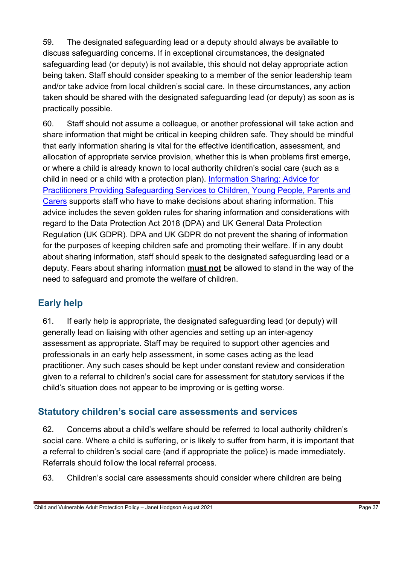59. The designated safeguarding lead or a deputy should always be available to discuss safeguarding concerns. If in exceptional circumstances, the designated safeguarding lead (or deputy) is not available, this should not delay appropriate action being taken. Staff should consider speaking to a member of the senior leadership team and/or take advice from local children's social care. In these circumstances, any action taken should be shared with the designated safeguarding lead (or deputy) as soon as is practically possible.

60. Staff should not assume a colleague, or another professional will take action and share information that might be critical in keeping children safe. They should be mindful that early information sharing is vital for the effective identification, assessment, and allocation of appropriate service provision, whether this is when problems first emerge, or where a child is already known to local authority children's social care (such as a child in need or a child with a protection plan). Information Sharing: Advice for Practitioners Providing Safeguarding Services to Children, Young People, Parents and Carers supports staff who have to make decisions about sharing information. This advice includes the seven golden rules for sharing information and considerations with regard to the Data Protection Act 2018 (DPA) and UK General Data Protection Regulation (UK GDPR). DPA and UK GDPR do not prevent the sharing of information for the purposes of keeping children safe and promoting their welfare. If in any doubt about sharing information, staff should speak to the designated safeguarding lead or a deputy. Fears about sharing information **must not** be allowed to stand in the way of the need to safeguard and promote the welfare of children.

# **Early help**

61. If early help is appropriate, the designated safeguarding lead (or deputy) will generally lead on liaising with other agencies and setting up an inter-agency assessment as appropriate. Staff may be required to support other agencies and professionals in an early help assessment, in some cases acting as the lead practitioner. Any such cases should be kept under constant review and consideration given to a referral to children's social care for assessment for statutory services if the child's situation does not appear to be improving or is getting worse.

# **Statutory children's social care assessments and services**

62. Concerns about a child's welfare should be referred to local authority children's social care. Where a child is suffering, or is likely to suffer from harm, it is important that a referral to children's social care (and if appropriate the police) is made immediately. Referrals should follow the local referral process.

63. Children's social care assessments should consider where children are being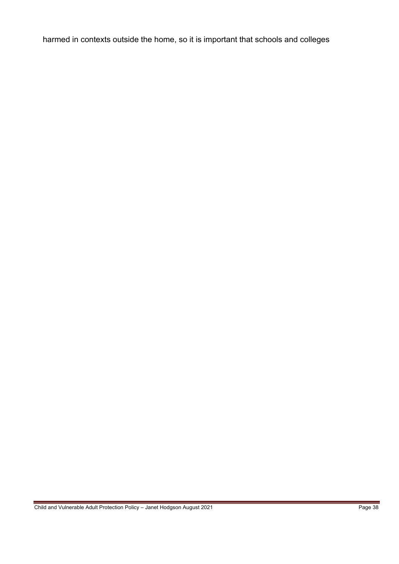harmed in contexts outside the home, so it is important that schools and colleges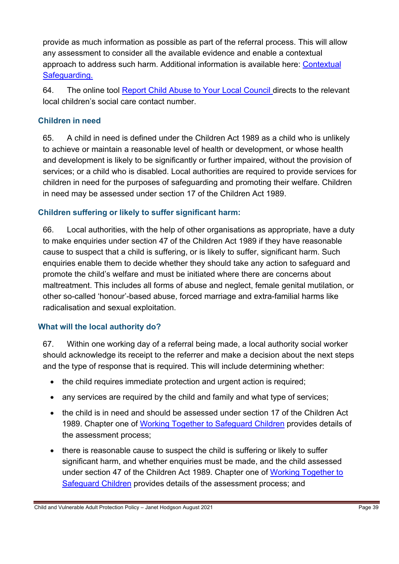provide as much information as possible as part of the referral process. This will allow any assessment to consider all the available evidence and enable a contextual approach to address such harm. Additional information is available here: Contextual Safeguarding.

64. The online tool Report Child Abuse to Your Local Council directs to the relevant local children's social care contact number.

# **Children in need**

65. A child in need is defined under the Children Act 1989 as a child who is unlikely to achieve or maintain a reasonable level of health or development, or whose health and development is likely to be significantly or further impaired, without the provision of services; or a child who is disabled. Local authorities are required to provide services for children in need for the purposes of safeguarding and promoting their welfare. Children in need may be assessed under section 17 of the Children Act 1989.

# **Children suffering or likely to suffer significant harm:**

66. Local authorities, with the help of other organisations as appropriate, have a duty to make enquiries under section 47 of the Children Act 1989 if they have reasonable cause to suspect that a child is suffering, or is likely to suffer, significant harm. Such enquiries enable them to decide whether they should take any action to safeguard and promote the child's welfare and must be initiated where there are concerns about maltreatment. This includes all forms of abuse and neglect, female genital mutilation, or other so-called 'honour'-based abuse, forced marriage and extra-familial harms like radicalisation and sexual exploitation.

# **What will the local authority do?**

67. Within one working day of a referral being made, a local authority social worker should acknowledge its receipt to the referrer and make a decision about the next steps and the type of response that is required. This will include determining whether:

- the child requires immediate protection and urgent action is required;
- any services are required by the child and family and what type of services;
- the child is in need and should be assessed under section 17 of the Children Act 1989. Chapter one of Working Together to Safeguard Children provides details of the assessment process;
- there is reasonable cause to suspect the child is suffering or likely to suffer significant harm, and whether enquiries must be made, and the child assessed under section 47 of the Children Act 1989. Chapter one of Working Together to Safeguard Children provides details of the assessment process; and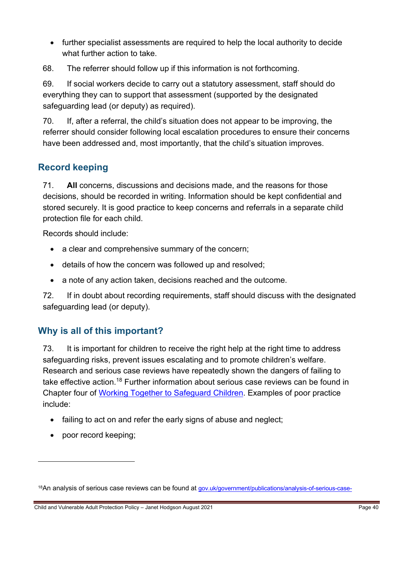- further specialist assessments are required to help the local authority to decide what further action to take.
- 68. The referrer should follow up if this information is not forthcoming.

69. If social workers decide to carry out a statutory assessment, staff should do everything they can to support that assessment (supported by the designated safeguarding lead (or deputy) as required).

70. If, after a referral, the child's situation does not appear to be improving, the referrer should consider following local escalation procedures to ensure their concerns have been addressed and, most importantly, that the child's situation improves.

# **Record keeping**

71. **All** concerns, discussions and decisions made, and the reasons for those decisions, should be recorded in writing. Information should be kept confidential and stored securely. It is good practice to keep concerns and referrals in a separate child protection file for each child.

Records should include:

- a clear and comprehensive summary of the concern;
- details of how the concern was followed up and resolved;
- a note of any action taken, decisions reached and the outcome.

72. If in doubt about recording requirements, staff should discuss with the designated safeguarding lead (or deputy).

# **Why is all of this important?**

73. It is important for children to receive the right help at the right time to address safeguarding risks, prevent issues escalating and to promote children's welfare. Research and serious case reviews have repeatedly shown the dangers of failing to take effective action.<sup>18</sup> Further information about serious case reviews can be found in Chapter four of Working Together to Safeguard Children. Examples of poor practice include:

- failing to act on and refer the early signs of abuse and neglect;
- poor record keeping;

Child and Vulnerable Adult Protection Policy – Janet Hodgson August 2021 Page 40

<sup>&</sup>lt;sup>18</sup>An analysis of serious case reviews can be found at gov.uk/government/publications/analysis-of-serious-case-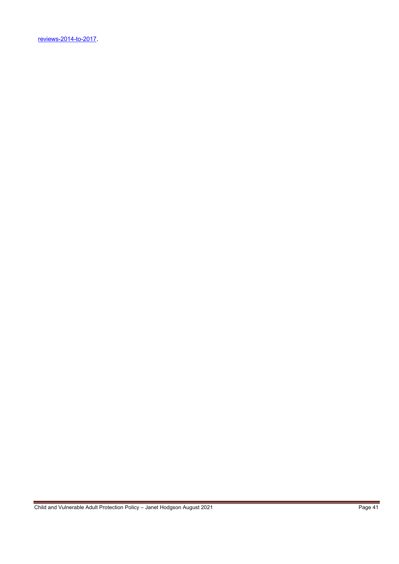reviews-2014-to-2017.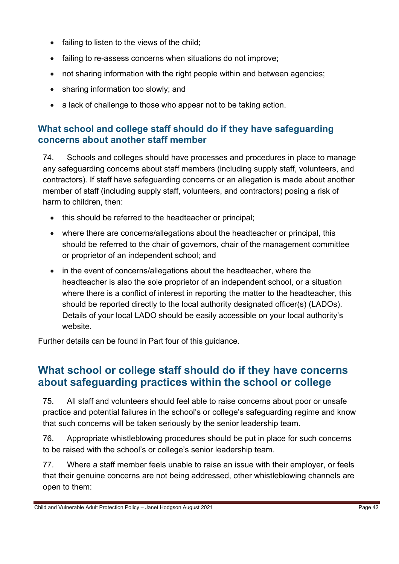- failing to listen to the views of the child:
- failing to re-assess concerns when situations do not improve;
- not sharing information with the right people within and between agencies;
- sharing information too slowly; and
- a lack of challenge to those who appear not to be taking action.

# **What school and college staff should do if they have safeguarding concerns about another staff member**

74. Schools and colleges should have processes and procedures in place to manage any safeguarding concerns about staff members (including supply staff, volunteers, and contractors). If staff have safeguarding concerns or an allegation is made about another member of staff (including supply staff, volunteers, and contractors) posing a risk of harm to children, then:

- this should be referred to the headteacher or principal;
- where there are concerns/allegations about the headteacher or principal, this should be referred to the chair of governors, chair of the management committee or proprietor of an independent school; and
- in the event of concerns/allegations about the headteacher, where the headteacher is also the sole proprietor of an independent school, or a situation where there is a conflict of interest in reporting the matter to the headteacher, this should be reported directly to the local authority designated officer(s) (LADOs). Details of your local LADO should be easily accessible on your local authority's website.

Further details can be found in Part four of this guidance.

# **What school or college staff should do if they have concerns about safeguarding practices within the school or college**

75. All staff and volunteers should feel able to raise concerns about poor or unsafe practice and potential failures in the school's or college's safeguarding regime and know that such concerns will be taken seriously by the senior leadership team.

76. Appropriate whistleblowing procedures should be put in place for such concerns to be raised with the school's or college's senior leadership team.

77. Where a staff member feels unable to raise an issue with their employer, or feels that their genuine concerns are not being addressed, other whistleblowing channels are open to them:

Child and Vulnerable Adult Protection Policy – Janet Hodgson August 2021 Page 42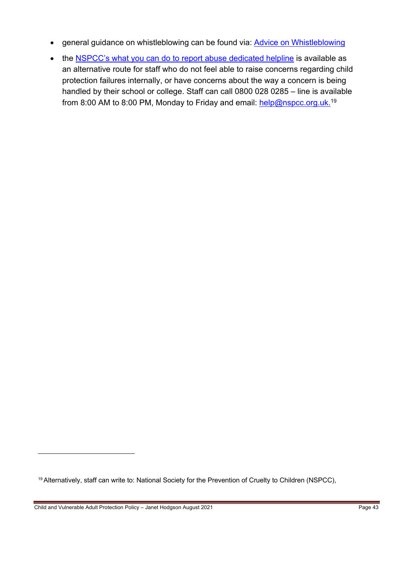- general guidance on whistleblowing can be found via: **Advice on Whistleblowing**
- the NSPCC's what you can do to report abuse dedicated helpline is available as an alternative route for staff who do not feel able to raise concerns regarding child protection failures internally, or have concerns about the way a concern is being handled by their school or college. Staff can call 0800 028 0285 – line is available from 8:00 AM to 8:00 PM, Monday to Friday and email: help@nspcc.org.uk.<sup>19</sup>

<sup>19</sup> Alternatively, staff can write to: National Society for the Prevention of Cruelty to Children (NSPCC),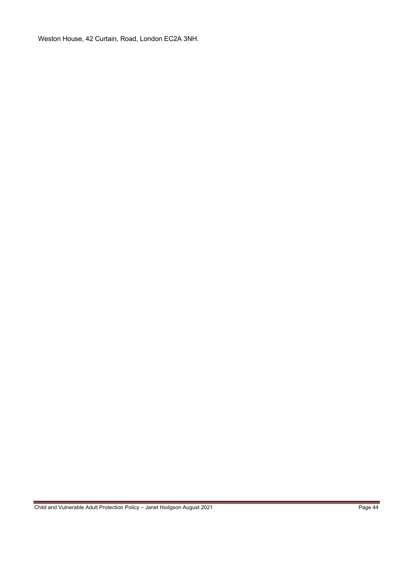Weston House, 42 Curtain, Road, London EC2A 3NH.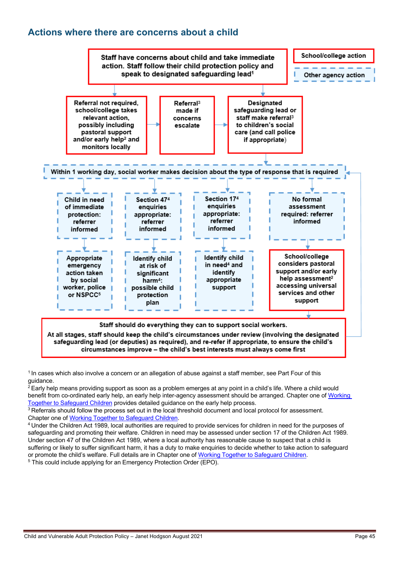# **Actions where there are concerns about a child**



<sup>1</sup> In cases which also involve a concern or an allegation of abuse against a staff member, see Part Four of this guidance.

 $2$  Early help means providing support as soon as a problem emerges at any point in a child's life. Where a child would benefit from co-ordinated early help, an early help inter-agency assessment should be arranged. Chapter one of Working Together to Safeguard Children provides detailed guidance on the early help process.

<sup>3</sup> Referrals should follow the process set out in the local threshold document and local protocol for assessment. Chapter one of Working Together to Safeguard Children.

4 Under the Children Act 1989, local authorities are required to provide services for children in need for the purposes of safeguarding and promoting their welfare. Children in need may be assessed under section 17 of the Children Act 1989. Under section 47 of the Children Act 1989, where a local authority has reasonable cause to suspect that a child is suffering or likely to suffer significant harm, it has a duty to make enquiries to decide whether to take action to safeguard or promote the child's welfare. Full details are in Chapter one of Working Together to Safeguard Children. <sup>5</sup> This could include applying for an Emergency Protection Order (EPO).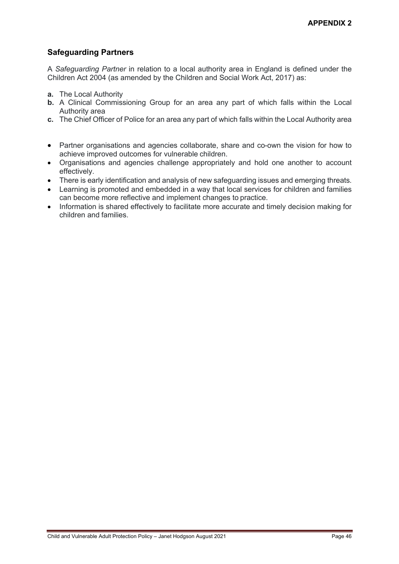# **Safeguarding Partners**

A *Safeguarding Partner* in relation to a local authority area in England is defined under the Children Act 2004 (as amended by the Children and Social Work Act, 2017) as:

- **a.** The Local Authority
- **b.** A Clinical Commissioning Group for an area any part of which falls within the Local Authority area
- **c.** The Chief Officer of Police for an area any part of which falls within the Local Authority area
- Partner organisations and agencies collaborate, share and co-own the vision for how to achieve improved outcomes for vulnerable children.
- Organisations and agencies challenge appropriately and hold one another to account effectively.
- There is early identification and analysis of new safeguarding issues and emerging threats.
- Learning is promoted and embedded in a way that local services for children and families can become more reflective and implement changes to practice.
- Information is shared effectively to facilitate more accurate and timely decision making for children and families.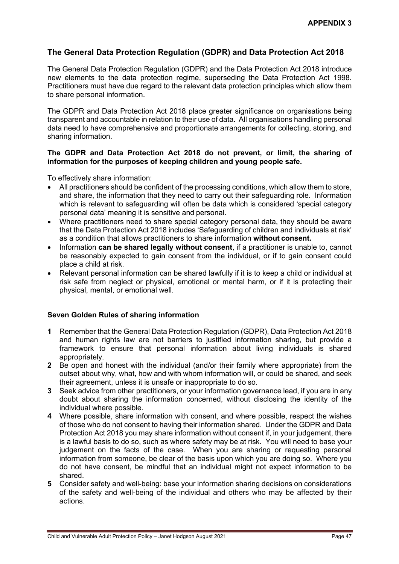# **The General Data Protection Regulation (GDPR) and Data Protection Act 2018**

The General Data Protection Regulation (GDPR) and the Data Protection Act 2018 introduce new elements to the data protection regime, superseding the Data Protection Act 1998. Practitioners must have due regard to the relevant data protection principles which allow them to share personal information.

The GDPR and Data Protection Act 2018 place greater significance on organisations being transparent and accountable in relation to their use of data. All organisations handling personal data need to have comprehensive and proportionate arrangements for collecting, storing, and sharing information.

#### **The GDPR and Data Protection Act 2018 do not prevent, or limit, the sharing of information for the purposes of keeping children and young people safe.**

To effectively share information:

- All practitioners should be confident of the processing conditions, which allow them to store, and share, the information that they need to carry out their safeguarding role. Information which is relevant to safeguarding will often be data which is considered 'special category personal data' meaning it is sensitive and personal.
- Where practitioners need to share special category personal data, they should be aware that the Data Protection Act 2018 includes 'Safeguarding of children and individuals at risk' as a condition that allows practitioners to share information **without consent.**
- Information **can be shared legally without consent**, if a practitioner is unable to, cannot be reasonably expected to gain consent from the individual, or if to gain consent could place a child at risk.
- Relevant personal information can be shared lawfully if it is to keep a child or individual at risk safe from neglect or physical, emotional or mental harm, or if it is protecting their physical, mental, or emotional well.

## **Seven Golden Rules of sharing information**

- **1** Remember that the General Data Protection Regulation (GDPR), Data Protection Act 2018 and human rights law are not barriers to justified information sharing, but provide a framework to ensure that personal information about living individuals is shared appropriately.
- **2** Be open and honest with the individual (and/or their family where appropriate) from the outset about why, what, how and with whom information will, or could be shared, and seek their agreement, unless it is unsafe or inappropriate to do so.
- **3** Seek advice from other practitioners, or your information governance lead, if you are in any doubt about sharing the information concerned, without disclosing the identity of the individual where possible.
- **4** Where possible, share information with consent, and where possible, respect the wishes of those who do not consent to having their information shared. Under the GDPR and Data Protection Act 2018 you may share information without consent if, in your judgement, there is a lawful basis to do so, such as where safety may be at risk. You will need to base your judgement on the facts of the case. When you are sharing or requesting personal information from someone, be clear of the basis upon which you are doing so. Where you do not have consent, be mindful that an individual might not expect information to be shared.
- **5** Consider safety and well-being: base your information sharing decisions on considerations of the safety and well-being of the individual and others who may be affected by their actions.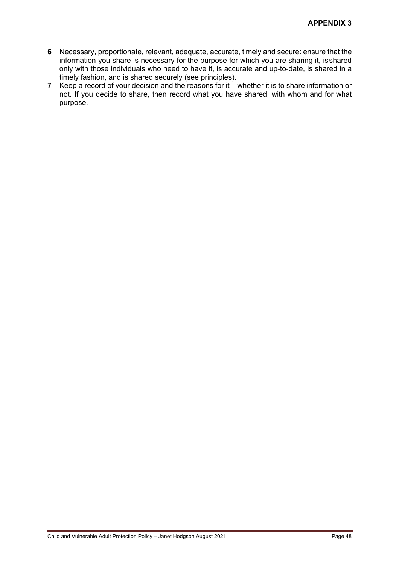- **6** Necessary, proportionate, relevant, adequate, accurate, timely and secure: ensure that the information you share is necessary for the purpose for which you are sharing it, isshared only with those individuals who need to have it, is accurate and up-to-date, is shared in a timely fashion, and is shared securely (see principles).
- **7** Keep a record of your decision and the reasons for it whether it is to share information or not. If you decide to share, then record what you have shared, with whom and for what purpose.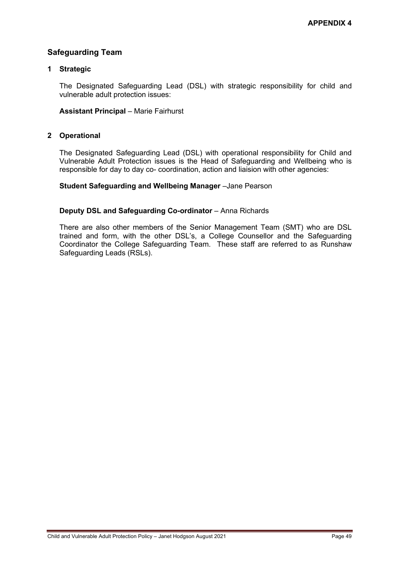# **Safeguarding Team**

## **1 Strategic**

The Designated Safeguarding Lead (DSL) with strategic responsibility for child and vulnerable adult protection issues:

#### **Assistant Principal** – Marie Fairhurst

#### **2 Operational**

The Designated Safeguarding Lead (DSL) with operational responsibility for Child and Vulnerable Adult Protection issues is the Head of Safeguarding and Wellbeing who is responsible for day to day co- coordination, action and liaision with other agencies:

**Student Safeguarding and Wellbeing Manager** –Jane Pearson

#### **Deputy DSL and Safeguarding Co-ordinator** – Anna Richards

There are also other members of the Senior Management Team (SMT) who are DSL trained and form, with the other DSL's, a College Counsellor and the Safeguarding Coordinator the College Safeguarding Team. These staff are referred to as Runshaw Safeguarding Leads (RSLs).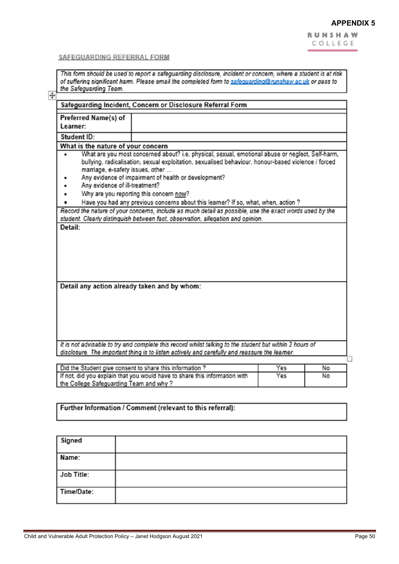#### SAFEGUARDING REFERRAL FORM

This form should be used to report a safequarding disclosure, incident or concern, where a student is at risk of suffering significant harm. Please email the completed form to safeguarding@runshaw.ac.uk or pass to the Safeguarding Team.

# $\overline{\mathbf{r}}$

| Safeguarding Incident, Concern or Disclosure Referral Form                                                                                                                                                                                                                                                                                                                                                                                                                                                                                                                                                                                                                           |     |    |
|--------------------------------------------------------------------------------------------------------------------------------------------------------------------------------------------------------------------------------------------------------------------------------------------------------------------------------------------------------------------------------------------------------------------------------------------------------------------------------------------------------------------------------------------------------------------------------------------------------------------------------------------------------------------------------------|-----|----|
| Preferred Name(s) of                                                                                                                                                                                                                                                                                                                                                                                                                                                                                                                                                                                                                                                                 |     |    |
| Learner:                                                                                                                                                                                                                                                                                                                                                                                                                                                                                                                                                                                                                                                                             |     |    |
| <b>Student ID:</b>                                                                                                                                                                                                                                                                                                                                                                                                                                                                                                                                                                                                                                                                   |     |    |
| What is the nature of your concern                                                                                                                                                                                                                                                                                                                                                                                                                                                                                                                                                                                                                                                   |     |    |
| What are you most concerned about? i.e. physical, sexual, emotional abuse or neglect, Self-harm,<br>٠<br>bullying, radicalisation, sexual exploitation, sexualised behaviour, honour-based violence / forced<br>marriage, e-safety issues, other<br>Any evidence of impairment of health or development?<br>Any evidence of ill-treatment?<br>Why are you reporting this concern now?<br>Have you had any previous concerns about this learner? If so, what, when, action ?<br>Record the nature of your concerns, include as much detail as possible, use the exact words used by the<br>student. Clearly distinguish between fact, observation, allegation and opinion.<br>Detail: |     |    |
| Detail any action already taken and by whom:                                                                                                                                                                                                                                                                                                                                                                                                                                                                                                                                                                                                                                         |     |    |
|                                                                                                                                                                                                                                                                                                                                                                                                                                                                                                                                                                                                                                                                                      |     |    |
| It is not advisable to try and complete this record whilst talking to the student but within 2 hours of<br>disclosure. The important thing is to listen actively and carefully and reassure the learner.                                                                                                                                                                                                                                                                                                                                                                                                                                                                             |     |    |
|                                                                                                                                                                                                                                                                                                                                                                                                                                                                                                                                                                                                                                                                                      |     |    |
| Did the Student give consent to share this information ?                                                                                                                                                                                                                                                                                                                                                                                                                                                                                                                                                                                                                             | Yes | No |

If not, did you explain that you would have to share this information with Yes No the College Safeguarding Team and why?

| Further Information / Comment (relevant to this referral): |  |
|------------------------------------------------------------|--|
|                                                            |  |

| Signed            |  |
|-------------------|--|
| Name:             |  |
| <b>Job Title:</b> |  |
| Time/Date:        |  |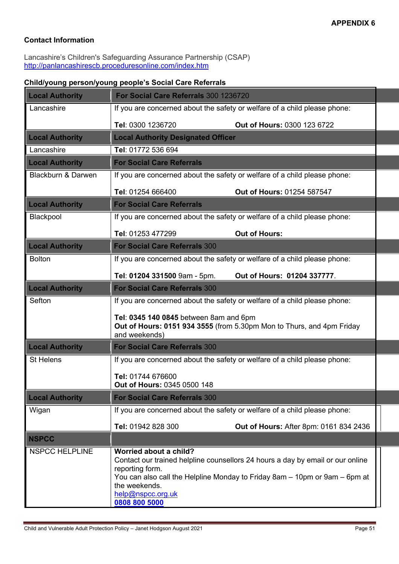# **Contact Information**

Lancashire's Children's Safeguarding Assurance Partnership (CSAP) http://panlancashirescb.proceduresonline.com/index.htm

# **Child/young person/young people's Social Care Referrals**

| <b>Local Authority</b>        | For Social Care Referrals 300 1236720                                                                                                                                                                                                                            |  |  |
|-------------------------------|------------------------------------------------------------------------------------------------------------------------------------------------------------------------------------------------------------------------------------------------------------------|--|--|
| Lancashire                    | If you are concerned about the safety or welfare of a child please phone:                                                                                                                                                                                        |  |  |
|                               | Tel: 0300 1236720<br>Out of Hours: 0300 123 6722                                                                                                                                                                                                                 |  |  |
| <b>Local Authority</b>        | <b>Local Authority Designated Officer</b>                                                                                                                                                                                                                        |  |  |
| Lancashire                    | Tel: 01772 536 694                                                                                                                                                                                                                                               |  |  |
| <b>Local Authority</b>        | <b>For Social Care Referrals</b>                                                                                                                                                                                                                                 |  |  |
| <b>Blackburn &amp; Darwen</b> | If you are concerned about the safety or welfare of a child please phone:                                                                                                                                                                                        |  |  |
|                               | Tel: 01254 666400<br>Out of Hours: 01254 587547                                                                                                                                                                                                                  |  |  |
| <b>Local Authority</b>        | <b>For Social Care Referrals</b>                                                                                                                                                                                                                                 |  |  |
| Blackpool                     | If you are concerned about the safety or welfare of a child please phone:                                                                                                                                                                                        |  |  |
|                               | <b>Out of Hours:</b><br>Tel: 01253 477299                                                                                                                                                                                                                        |  |  |
| <b>Local Authority</b>        | <b>For Social Care Referrals 300</b>                                                                                                                                                                                                                             |  |  |
| <b>Bolton</b>                 | If you are concerned about the safety or welfare of a child please phone:                                                                                                                                                                                        |  |  |
|                               | Out of Hours: 01204 337777.<br>Tel: 01204 331500 9am - 5pm.                                                                                                                                                                                                      |  |  |
| <b>Local Authority</b>        | <b>For Social Care Referrals 300</b>                                                                                                                                                                                                                             |  |  |
| Sefton                        | If you are concerned about the safety or welfare of a child please phone:                                                                                                                                                                                        |  |  |
|                               | Tel: 0345 140 0845 between 8am and 6pm<br>Out of Hours: 0151 934 3555 (from 5.30pm Mon to Thurs, and 4pm Friday<br>and weekends)                                                                                                                                 |  |  |
| <b>Local Authority</b>        | <b>For Social Care Referrals 300</b>                                                                                                                                                                                                                             |  |  |
| <b>St Helens</b>              | If you are concerned about the safety or welfare of a child please phone:                                                                                                                                                                                        |  |  |
|                               | Tel: 01744 676600<br>Out of Hours: 0345 0500 148                                                                                                                                                                                                                 |  |  |
| <b>Local Authority</b>        | <b>For Social Care Referrals 300</b>                                                                                                                                                                                                                             |  |  |
| Wigan                         | If you are concerned about the safety or welfare of a child please phone:                                                                                                                                                                                        |  |  |
|                               | Out of Hours: After 8pm: 0161 834 2436<br>Tel: 01942 828 300                                                                                                                                                                                                     |  |  |
| <b>NSPCC</b>                  |                                                                                                                                                                                                                                                                  |  |  |
| <b>NSPCC HELPLINE</b>         | Worried about a child?<br>Contact our trained helpline counsellors 24 hours a day by email or our online<br>reporting form.<br>You can also call the Helpline Monday to Friday 8am - 10pm or 9am - 6pm at<br>the weekends.<br>help@nspcc.org.uk<br>0808 800 5000 |  |  |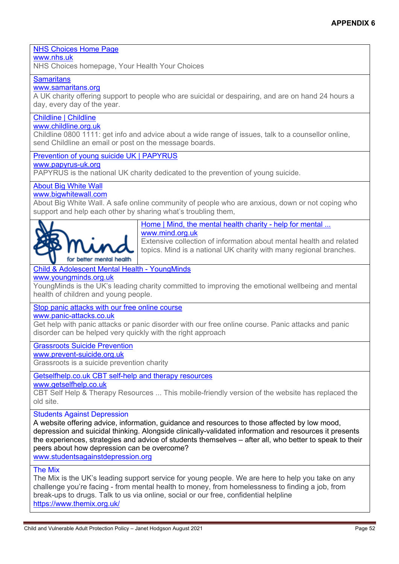# NHS Choices Home Page

# www.nhs.uk

NHS Choices homepage, Your Health Your Choices

#### **Samaritans**

www.samaritans.org

A UK charity offering support to people who are suicidal or despairing, and are on hand 24 hours a day, every day of the year.

# Childline | Childline

#### www.childline.org.uk

Childline 0800 1111: get info and advice about a wide range of issues, talk to a counsellor online, send Childline an email or post on the message boards.

#### Prevention of young suicide UK | PAPYRUS

# www.papyrus-uk.org

PAPYRUS is the national UK charity dedicated to the prevention of young suicide.

# About Big White Wall

#### www.bigwhitewall.com

About Big White Wall. A safe online community of people who are anxious, down or not coping who support and help each other by sharing what's troubling them,



Home | Mind, the mental health charity - help for mental ... www.mind.org.uk

Extensive collection of information about mental health and related topics. Mind is a national UK charity with many regional branches.

# Child & Adolescent Mental Health - YoungMinds

#### www.youngminds.org.uk

YoungMinds is the UK's leading charity committed to improving the emotional wellbeing and mental health of children and young people.

# Stop panic attacks with our free online course

#### www.panic-attacks.co.uk

Get help with panic attacks or panic disorder with our free online course. Panic attacks and panic disorder can be helped very quickly with the right approach

#### Grassroots Suicide Prevention

#### www.prevent-suicide.org.uk

Grassroots is a suicide prevention charity

## Getselfhelp.co.uk CBT self-help and therapy resources

www.getselfhelp.co.uk

CBT Self Help & Therapy Resources ... This mobile-friendly version of the website has replaced the old site.

#### Students Against Depression

A website offering advice, information, guidance and resources to those affected by low mood, depression and suicidal thinking. Alongside clinically-validated information and resources it presents the experiences, strategies and advice of students themselves – after all, who better to speak to their peers about how depression can be overcome?

www.studentsagainstdepression.org

#### The Mix

The Mix is the UK's leading support service for young people. We are here to help you take on any challenge you're facing - from mental health to money, from homelessness to finding a job, from break-ups to drugs. Talk to us via online, social or our free, confidential helpline https://www.themix.org.uk/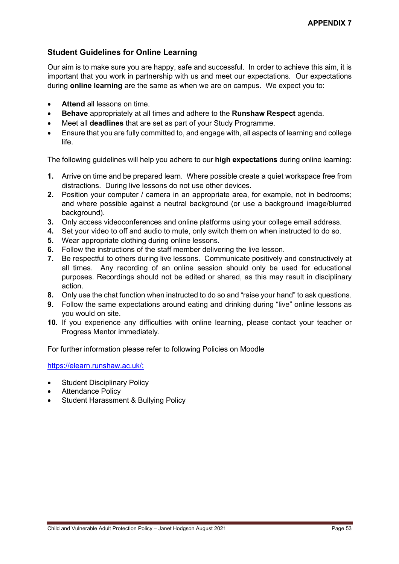# **Student Guidelines for Online Learning**

Our aim is to make sure you are happy, safe and successful. In order to achieve this aim, it is important that you work in partnership with us and meet our expectations. Our expectations during **online learning** are the same as when we are on campus. We expect you to:

- **Attend** all lessons on time.
- **Behave** appropriately at all times and adhere to the **Runshaw Respect** agenda.
- Meet all **deadlines** that are set as part of your Study Programme.
- Ensure that you are fully committed to, and engage with, all aspects of learning and college life.

The following guidelines will help you adhere to our **high expectations** during online learning:

- **1.** Arrive on time and be prepared learn. Where possible create a quiet workspace free from distractions. During live lessons do not use other devices.
- **2.** Position your computer / camera in an appropriate area, for example, not in bedrooms; and where possible against a neutral background (or use a background image/blurred background).
- **3.** Only access videoconferences and online platforms using your college email address.
- **4.** Set your video to off and audio to mute, only switch them on when instructed to do so.
- **5.** Wear appropriate clothing during online lessons.
- **6.** Follow the instructions of the staff member delivering the live lesson.
- **7.** Be respectful to others during live lessons. Communicate positively and constructively at all times. Any recording of an online session should only be used for educational purposes. Recordings should not be edited or shared, as this may result in disciplinary action.
- **8.** Only use the chat function when instructed to do so and "raise your hand" to ask questions.
- **9.** Follow the same expectations around eating and drinking during "live" online lessons as you would on site.
- **10.** If you experience any difficulties with online learning, please contact your teacher or Progress Mentor immediately.

For further information please refer to following Policies on Moodle

https://elearn.runshaw.ac.uk/:

- Student Disciplinary Policy
- **Attendance Policy**
- Student Harassment & Bullying Policy